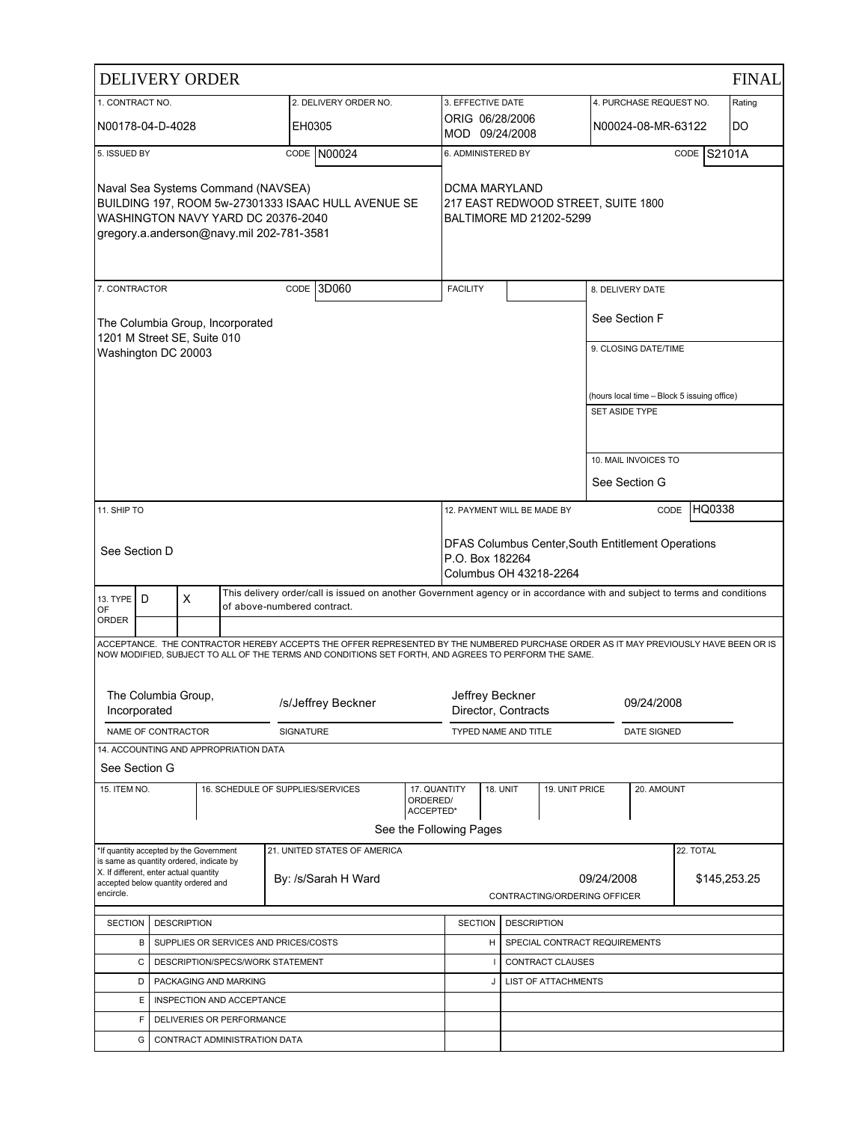|                                                                                                                                                                             |                                            | <b>DELIVERY ORDER</b>                                                               |  |                                   |                                                                                                                                                                                                                                            |                         |                                                                |                               |                  |                            |                       |                         |                                             | <b>FINAL</b> |
|-----------------------------------------------------------------------------------------------------------------------------------------------------------------------------|--------------------------------------------|-------------------------------------------------------------------------------------|--|-----------------------------------|--------------------------------------------------------------------------------------------------------------------------------------------------------------------------------------------------------------------------------------------|-------------------------|----------------------------------------------------------------|-------------------------------|------------------|----------------------------|-----------------------|-------------------------|---------------------------------------------|--------------|
| 1. CONTRACT NO.                                                                                                                                                             |                                            |                                                                                     |  |                                   | 2. DELIVERY ORDER NO.                                                                                                                                                                                                                      |                         | 3. EFFECTIVE DATE                                              |                               |                  |                            |                       | 4. PURCHASE REQUEST NO. |                                             | Rating       |
| N00178-04-D-4028                                                                                                                                                            |                                            |                                                                                     |  | EH0305                            |                                                                                                                                                                                                                                            |                         | ORIG 06/28/2006<br>MOD 09/24/2008                              |                               |                  |                            |                       | N00024-08-MR-63122      |                                             | DO           |
| 5. ISSUED BY                                                                                                                                                                |                                            |                                                                                     |  |                                   | CODE N00024                                                                                                                                                                                                                                |                         | 6. ADMINISTERED BY                                             |                               |                  |                            |                       |                         | CODE S2101A                                 |              |
| Naval Sea Systems Command (NAVSEA)<br>BUILDING 197. ROOM 5w-27301333 ISAAC HULL AVENUE SE<br>WASHINGTON NAVY YARD DC 20376-2040<br>gregory.a.anderson@navy.mil 202-781-3581 |                                            |                                                                                     |  | DCMA MARYLAND                     |                                                                                                                                                                                                                                            |                         | 217 EAST REDWOOD STREET, SUITE 1800<br>BALTIMORE MD 21202-5299 |                               |                  |                            |                       |                         |                                             |              |
| 7. CONTRACTOR                                                                                                                                                               |                                            |                                                                                     |  |                                   | CODE 3D060                                                                                                                                                                                                                                 |                         | <b>FACILITY</b>                                                |                               |                  |                            | 8. DELIVERY DATE      |                         |                                             |              |
|                                                                                                                                                                             |                                            | The Columbia Group, Incorporated<br>1201 M Street SE, Suite 010                     |  |                                   |                                                                                                                                                                                                                                            |                         |                                                                |                               |                  |                            | See Section F         |                         |                                             |              |
| Washington DC 20003                                                                                                                                                         |                                            |                                                                                     |  |                                   |                                                                                                                                                                                                                                            |                         |                                                                |                               |                  |                            |                       | 9. CLOSING DATE/TIME    |                                             |              |
|                                                                                                                                                                             |                                            |                                                                                     |  |                                   |                                                                                                                                                                                                                                            |                         |                                                                |                               |                  |                            |                       |                         |                                             |              |
|                                                                                                                                                                             |                                            |                                                                                     |  |                                   |                                                                                                                                                                                                                                            |                         |                                                                |                               |                  |                            | <b>SET ASIDE TYPE</b> |                         | (hours local time - Block 5 issuing office) |              |
|                                                                                                                                                                             |                                            |                                                                                     |  |                                   |                                                                                                                                                                                                                                            |                         |                                                                |                               |                  |                            |                       |                         |                                             |              |
|                                                                                                                                                                             |                                            |                                                                                     |  |                                   |                                                                                                                                                                                                                                            |                         |                                                                |                               |                  |                            |                       | 10. MAIL INVOICES TO    |                                             |              |
|                                                                                                                                                                             |                                            |                                                                                     |  |                                   |                                                                                                                                                                                                                                            |                         |                                                                |                               |                  |                            |                       | See Section G           |                                             |              |
| 11. SHIP TO                                                                                                                                                                 |                                            |                                                                                     |  |                                   | HQ0338<br>12. PAYMENT WILL BE MADE BY<br>CODE                                                                                                                                                                                              |                         |                                                                |                               |                  |                            |                       |                         |                                             |              |
|                                                                                                                                                                             | See Section D                              |                                                                                     |  |                                   | DFAS Columbus Center, South Entitlement Operations<br>P.O. Box 182264<br>Columbus OH 43218-2264                                                                                                                                            |                         |                                                                |                               |                  |                            |                       |                         |                                             |              |
| 13. TYPE   D<br>OF                                                                                                                                                          |                                            | X                                                                                   |  | of above-numbered contract.       | This delivery order/call is issued on another Government agency or in accordance with and subject to terms and conditions                                                                                                                  |                         |                                                                |                               |                  |                            |                       |                         |                                             |              |
| <b>ORDER</b>                                                                                                                                                                |                                            |                                                                                     |  |                                   |                                                                                                                                                                                                                                            |                         |                                                                |                               |                  |                            |                       |                         |                                             |              |
|                                                                                                                                                                             |                                            |                                                                                     |  |                                   | ACCEPTANCE. THE CONTRACTOR HEREBY ACCEPTS THE OFFER REPRESENTED BY THE NUMBERED PURCHASE ORDER AS IT MAY PREVIOUSLY HAVE BEEN OR IS<br>NOW MODIFIED, SUBJECT TO ALL OF THE TERMS AND CONDITIONS SET FORTH, AND AGREES TO PERFORM THE SAME. |                         |                                                                |                               |                  |                            |                       |                         |                                             |              |
| Incorporated                                                                                                                                                                |                                            | The Columbia Group,                                                                 |  |                                   | /s/Jeffrey Beckner                                                                                                                                                                                                                         |                         | Jeffrey Beckner<br>09/24/2008<br>Director, Contracts           |                               |                  |                            |                       |                         |                                             |              |
|                                                                                                                                                                             |                                            | NAME OF CONTRACTOR                                                                  |  | <b>SIGNATURE</b>                  |                                                                                                                                                                                                                                            |                         | TYPED NAME AND TITLE                                           |                               |                  |                            |                       | DATE SIGNED             |                                             |              |
|                                                                                                                                                                             |                                            | 14. ACCOUNTING AND APPROPRIATION DATA                                               |  |                                   |                                                                                                                                                                                                                                            |                         |                                                                |                               |                  |                            |                       |                         |                                             |              |
| See Section G<br>15. ITEM NO.                                                                                                                                               |                                            |                                                                                     |  | 16. SCHEDULE OF SUPPLIES/SERVICES |                                                                                                                                                                                                                                            | 17. QUANTITY            |                                                                | <b>18. UNIT</b>               |                  | 19. UNIT PRICE             |                       | 20. AMOUNT              |                                             |              |
|                                                                                                                                                                             |                                            |                                                                                     |  |                                   |                                                                                                                                                                                                                                            | ORDERED/<br>ACCEPTED*   |                                                                |                               |                  |                            |                       |                         |                                             |              |
|                                                                                                                                                                             |                                            |                                                                                     |  |                                   |                                                                                                                                                                                                                                            | See the Following Pages |                                                                |                               |                  |                            |                       |                         |                                             |              |
|                                                                                                                                                                             |                                            | *If quantity accepted by the Government<br>is same as quantity ordered, indicate by |  |                                   | 21. UNITED STATES OF AMERICA                                                                                                                                                                                                               |                         |                                                                |                               |                  |                            |                       |                         | 22. TOTAL                                   |              |
| X. If different, enter actual quantity<br>By: /s/Sarah H Ward<br>accepted below quantity ordered and<br>encircle.                                                           |                                            |                                                                                     |  |                                   |                                                                                                                                                                                                                                            |                         | CONTRACTING/ORDERING OFFICER                                   | 09/24/2008                    |                  |                            | \$145,253.25          |                         |                                             |              |
|                                                                                                                                                                             |                                            |                                                                                     |  |                                   |                                                                                                                                                                                                                                            |                         |                                                                |                               |                  |                            |                       |                         |                                             |              |
| <b>SECTION</b>                                                                                                                                                              | <b>DESCRIPTION</b>                         |                                                                                     |  |                                   | <b>SECTION</b>                                                                                                                                                                                                                             |                         | <b>DESCRIPTION</b>                                             |                               |                  |                            |                       |                         |                                             |              |
|                                                                                                                                                                             | SUPPLIES OR SERVICES AND PRICES/COSTS<br>В |                                                                                     |  |                                   |                                                                                                                                                                                                                                            | H                       |                                                                | SPECIAL CONTRACT REQUIREMENTS |                  |                            |                       |                         |                                             |              |
|                                                                                                                                                                             | DESCRIPTION/SPECS/WORK STATEMENT<br>С      |                                                                                     |  |                                   |                                                                                                                                                                                                                                            |                         |                                                                |                               | CONTRACT CLAUSES |                            |                       |                         |                                             |              |
|                                                                                                                                                                             | D                                          | PACKAGING AND MARKING                                                               |  |                                   |                                                                                                                                                                                                                                            |                         |                                                                | J                             |                  | <b>LIST OF ATTACHMENTS</b> |                       |                         |                                             |              |
|                                                                                                                                                                             | Е                                          | INSPECTION AND ACCEPTANCE                                                           |  |                                   |                                                                                                                                                                                                                                            |                         |                                                                |                               |                  |                            |                       |                         |                                             |              |
|                                                                                                                                                                             | F                                          | DELIVERIES OR PERFORMANCE                                                           |  |                                   |                                                                                                                                                                                                                                            |                         |                                                                |                               |                  |                            |                       |                         |                                             |              |
|                                                                                                                                                                             | G                                          | CONTRACT ADMINISTRATION DATA                                                        |  |                                   |                                                                                                                                                                                                                                            |                         |                                                                |                               |                  |                            |                       |                         |                                             |              |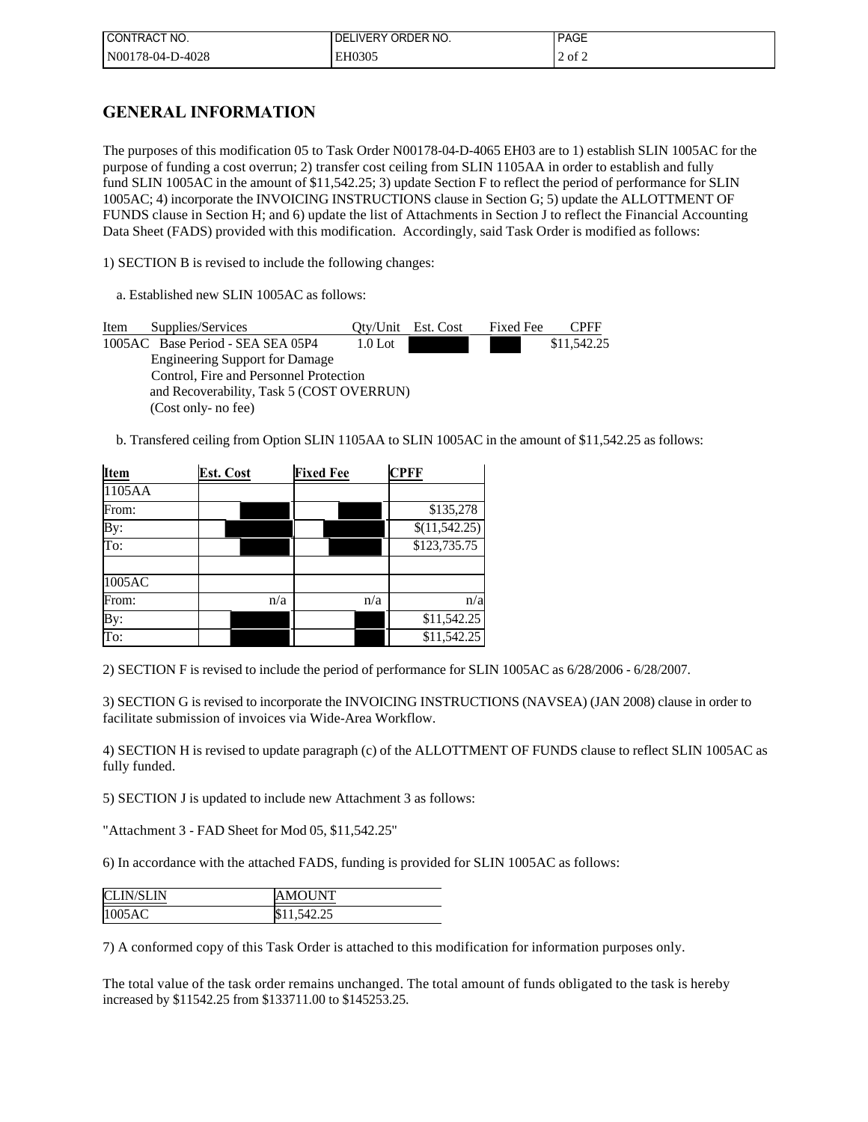| I CONTRACT NO.   | I DELIVERY ORDER NO. | <b>PAGE</b> |
|------------------|----------------------|-------------|
| N00178-04-D-4028 | EH0305               | $2$ of $2$  |

# **GENERAL INFORMATION**

The purposes of this modification 05 to Task Order N00178-04-D-4065 EH03 are to 1) establish SLIN 1005AC for the purpose of funding a cost overrun; 2) transfer cost ceiling from SLIN 1105AA in order to establish and fully fund SLIN 1005AC in the amount of \$11,542.25; 3) update Section F to reflect the period of performance for SLIN 1005AC; 4) incorporate the INVOICING INSTRUCTIONS clause in Section G; 5) update the ALLOTTMENT OF FUNDS clause in Section H; and 6) update the list of Attachments in Section J to reflect the Financial Accounting Data Sheet (FADS) provided with this modification. Accordingly, said Task Order is modified as follows:

1) SECTION B is revised to include the following changes:

a. Established new SLIN 1005AC as follows:

Item Supplies/Services Qty/Unit Est. Cost Fixed Fee CPFF 1005AC Base Period - SEA SEA 05P4 1.0 Lot \$11,542.25 Engineering Support for Damage Control, Fire and Personnel Protection and Recoverability, Task 5 (COST OVERRUN) (Cost only- no fee)

b. Transfered ceiling from Option SLIN 1105AA to SLIN 1005AC in the amount of \$11,542.25 as follows:

| Item                    | <b>Est. Cost</b> |     | <b>Fixed Fee</b> |     | <b>CPFF</b>                |
|-------------------------|------------------|-----|------------------|-----|----------------------------|
| 1105AA                  |                  |     |                  |     |                            |
| From:                   |                  |     |                  |     | \$135,278                  |
| By:                     |                  |     |                  |     | $\overline{\$(11,542.25)}$ |
| $\overline{\text{To:}}$ |                  |     |                  |     | \$123,735.75               |
|                         |                  |     |                  |     |                            |
| 1005AC                  |                  |     |                  |     |                            |
| From:                   |                  | n/a |                  | n/a | n/a                        |
| By:                     |                  |     |                  |     | \$11,542.25                |
| $\overline{\text{To:}}$ |                  |     |                  |     | \$11,542.25                |

2) SECTION F is revised to include the period of performance for SLIN 1005AC as 6/28/2006 - 6/28/2007.

3) SECTION G is revised to incorporate the INVOICING INSTRUCTIONS (NAVSEA) (JAN 2008) clause in order to facilitate submission of invoices via Wide-Area Workflow.

4) SECTION H is revised to update paragraph (c) of the ALLOTTMENT OF FUNDS clause to reflect SLIN 1005AC as fully funded.

5) SECTION J is updated to include new Attachment 3 as follows:

"Attachment 3 - FAD Sheet for Mod 05, \$11,542.25"

6) In accordance with the attached FADS, funding is provided for SLIN 1005AC as follows:

| <b>CLIN/SLIN</b> | MOUNT       |
|------------------|-------------|
| 1005AC           | \$11,542.25 |

7) A conformed copy of this Task Order is attached to this modification for information purposes only.

The total value of the task order remains unchanged. The total amount of funds obligated to the task is hereby increased by \$11542.25 from \$133711.00 to \$145253.25.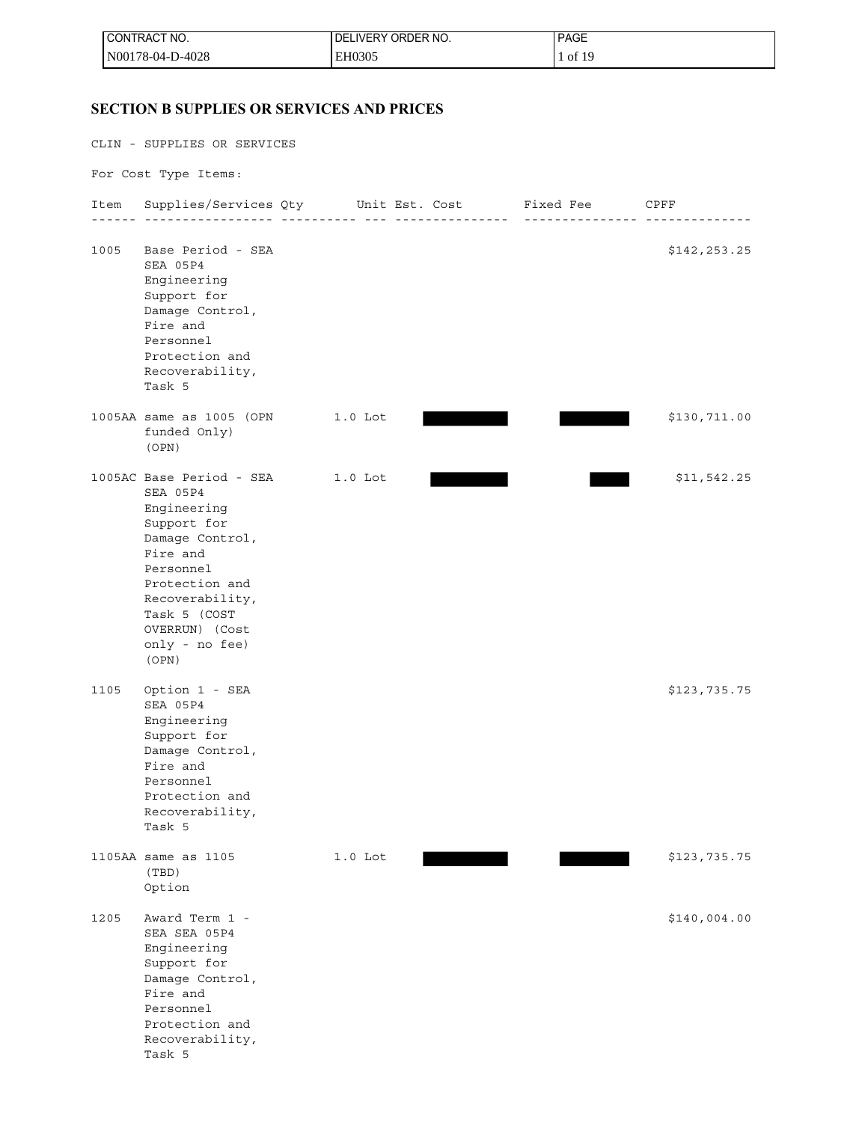| I CONTRACT NO.   | LIVERY ORDER NO.<br>DE | <b>PAGE</b> |
|------------------|------------------------|-------------|
| N00178-04-D-4028 | EH0305                 | of 19       |

# **SECTION B SUPPLIES OR SERVICES AND PRICES**

|      | CLIN - SUPPLIES OR SERVICES                                                                                                                                                                                      |           |                  |                                               |
|------|------------------------------------------------------------------------------------------------------------------------------------------------------------------------------------------------------------------|-----------|------------------|-----------------------------------------------|
|      | For Cost Type Items:                                                                                                                                                                                             |           |                  |                                               |
| Item | Supplies/Services Qty Unit Est. Cost Fixed Fee CPFF                                                                                                                                                              |           | ________________ |                                               |
| 1005 | Base Period - SEA<br>SEA 05P4<br>Engineering<br>Support for<br>Damage Control,<br>Fire and<br>Personnel<br>Protection and<br>Recoverability,<br>Task 5                                                           |           |                  | _ _ _ _ _ _ _ _ _ _ _ _ _ _ _<br>\$142,253.25 |
|      | 1005AA same as 1005 (OPN<br>funded Only)<br>(OPN)                                                                                                                                                                | 1.0 Lot   |                  | \$130,711.00                                  |
|      | 1005AC Base Period - SEA<br>SEA 05P4<br>Engineering<br>Support for<br>Damage Control,<br>Fire and<br>Personnel<br>Protection and<br>Recoverability,<br>Task 5 (COST<br>OVERRUN) (Cost<br>only - no fee)<br>(OPN) | 1.0 Lot   |                  | \$11,542.25                                   |
| 1105 | Option 1 - SEA<br>SEA 05P4<br>Engineering<br>Support for<br>Damage Control,<br>Fire and<br>Personnel<br>Protection and<br>Recoverability,<br>Task 5                                                              |           |                  | \$123,735.75                                  |
|      | 1105AA same as 1105<br>(TBD)<br>Option                                                                                                                                                                           | $1.0$ Lot |                  | \$123,735.75                                  |
| 1205 | Award Term 1 -<br>SEA SEA 05P4<br>Engineering<br>Support for<br>Damage Control,<br>Fire and<br>Personnel<br>Protection and<br>Recoverability,<br>Task 5                                                          |           |                  | \$140,004.00                                  |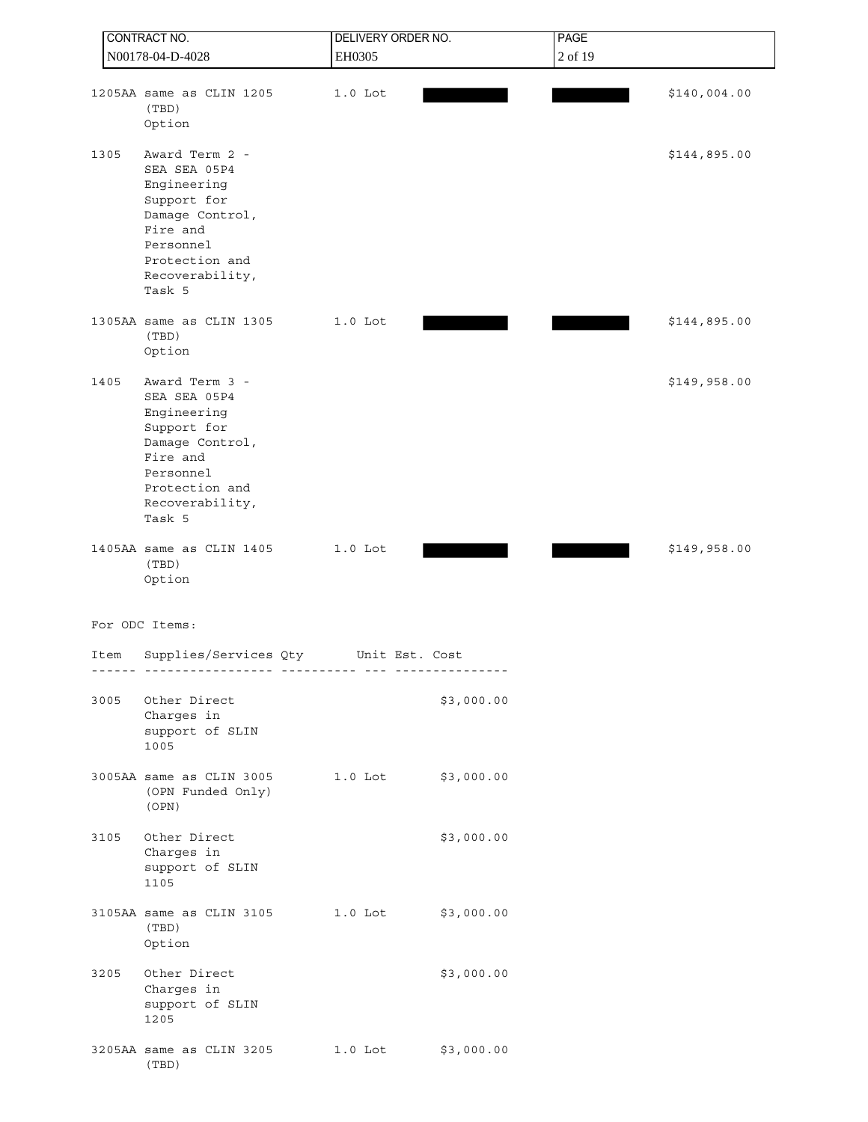| CONTRACT NO.     |                                                                                                                                                         | DELIVERY ORDER NO. |            | PAGE    |              |  |
|------------------|---------------------------------------------------------------------------------------------------------------------------------------------------------|--------------------|------------|---------|--------------|--|
| N00178-04-D-4028 |                                                                                                                                                         | EH0305             |            | 2 of 19 |              |  |
|                  | 1205AA same as CLIN 1205<br>(TBD)<br>Option                                                                                                             | $1.0$ Lot          |            |         | \$140,004.00 |  |
| 1305             | Award Term 2 -<br>SEA SEA 05P4<br>Engineering<br>Support for<br>Damage Control,<br>Fire and<br>Personnel<br>Protection and<br>Recoverability,<br>Task 5 |                    |            |         | \$144,895.00 |  |
|                  | 1305AA same as CLIN 1305<br>(TBD)<br>Option                                                                                                             | $1.0$ Lot          |            |         | \$144,895.00 |  |
| 1405             | Award Term 3 -<br>SEA SEA 05P4<br>Engineering<br>Support for<br>Damage Control,<br>Fire and<br>Personnel<br>Protection and<br>Recoverability,<br>Task 5 |                    |            |         | \$149,958.00 |  |
|                  | 1405AA same as CLIN 1405<br>(TBD)<br>Option                                                                                                             | $1.0$ Lot          |            |         | \$149,958.00 |  |
|                  | For ODC Items:                                                                                                                                          |                    |            |         |              |  |
| Item             | Supplies/Services Qty<br>------------------ ---------- ---                                                                                              | Unit Est. Cost     | .          |         |              |  |
| 3005             | Other Direct<br>Charges in<br>support of SLIN<br>1005                                                                                                   |                    | \$3,000.00 |         |              |  |
|                  | 3005AA same as CLIN 3005<br>(OPN Funded Only)<br>(OPN)                                                                                                  | 1.0 Lot \$3,000.00 |            |         |              |  |
| 3105             | Other Direct<br>Charges in<br>support of SLIN<br>1105                                                                                                   |                    | \$3,000.00 |         |              |  |
|                  | 3105AA same as CLIN 3105 1.0 Lot \$3,000.00<br>(TBD)<br>Option                                                                                          |                    |            |         |              |  |
| 3205             | Other Direct<br>Charges in<br>support of SLIN<br>1205                                                                                                   |                    | \$3,000.00 |         |              |  |
|                  | 3205AA same as CLIN 3205 1.0 Lot \$3,000.00<br>(TBD)                                                                                                    |                    |            |         |              |  |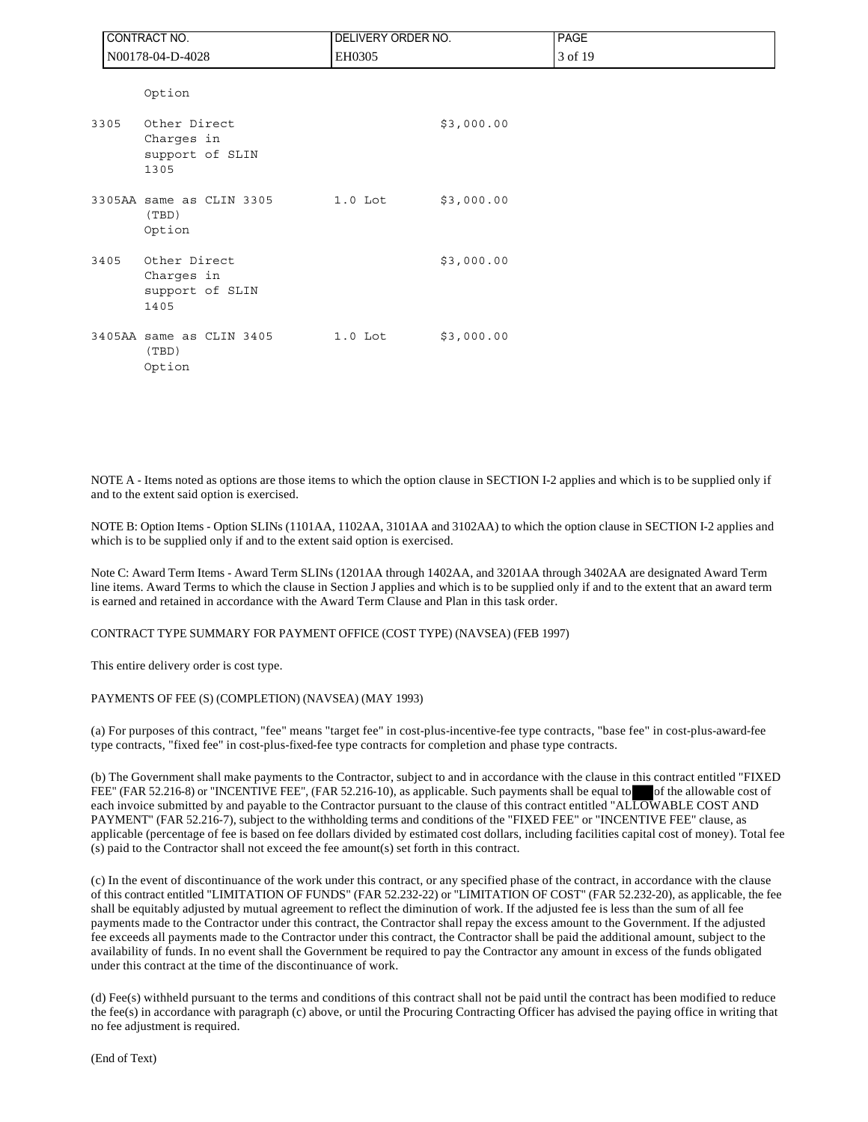|      | CONTRACT NO.                                          | DELIVERY ORDER NO. |            | <b>PAGE</b> |
|------|-------------------------------------------------------|--------------------|------------|-------------|
|      | N00178-04-D-4028                                      | EH0305             |            | 3 of 19     |
|      | Option                                                |                    |            |             |
| 3305 | Other Direct<br>Charges in<br>support of SLIN<br>1305 |                    | \$3,000.00 |             |
|      | 3305AA same as CLIN 3305<br>(TBD)<br>Option           | $1.0$ Lot          | \$3,000.00 |             |
| 3405 | Other Direct<br>Charges in<br>support of SLIN<br>1405 |                    | \$3,000.00 |             |
|      | 3405AA same as CLIN 3405<br>(TBD)<br>Option           | $1.0$ Lot          | \$3,000.00 |             |

NOTE A - Items noted as options are those items to which the option clause in SECTION I-2 applies and which is to be supplied only if and to the extent said option is exercised.

NOTE B: Option Items - Option SLINs (1101AA, 1102AA, 3101AA and 3102AA) to which the option clause in SECTION I-2 applies and which is to be supplied only if and to the extent said option is exercised.

Note C: Award Term Items - Award Term SLINs (1201AA through 1402AA, and 3201AA through 3402AA are designated Award Term line items. Award Terms to which the clause in Section J applies and which is to be supplied only if and to the extent that an award term is earned and retained in accordance with the Award Term Clause and Plan in this task order.

CONTRACT TYPE SUMMARY FOR PAYMENT OFFICE (COST TYPE) (NAVSEA) (FEB 1997)

This entire delivery order is cost type.

#### PAYMENTS OF FEE (S) (COMPLETION) (NAVSEA) (MAY 1993)

(a) For purposes of this contract, "fee" means "target fee" in cost-plus-incentive-fee type contracts, "base fee" in cost-plus-award-fee type contracts, "fixed fee" in cost-plus-fixed-fee type contracts for completion and phase type contracts.

(b) The Government shall make payments to the Contractor, subject to and in accordance with the clause in this contract entitled "FIXED FEE" (FAR 52.216-8) or "INCENTIVE FEE", (FAR 52.216-10), as applicable. Such payments shall be equal to of the allowable cost of each invoice submitted by and payable to the Contractor pursuant to the clause of this contract entitled "ALLOWABLE COST AND PAYMENT" (FAR 52.216-7), subject to the withholding terms and conditions of the "FIXED FEE" or "INCENTIVE FEE" clause, as applicable (percentage of fee is based on fee dollars divided by estimated cost dollars, including facilities capital cost of money). Total fee (s) paid to the Contractor shall not exceed the fee amount(s) set forth in this contract.

(c) In the event of discontinuance of the work under this contract, or any specified phase of the contract, in accordance with the clause of this contract entitled "LIMITATION OF FUNDS" (FAR 52.232-22) or "LIMITATION OF COST" (FAR 52.232-20), as applicable, the fee shall be equitably adjusted by mutual agreement to reflect the diminution of work. If the adjusted fee is less than the sum of all fee payments made to the Contractor under this contract, the Contractor shall repay the excess amount to the Government. If the adjusted fee exceeds all payments made to the Contractor under this contract, the Contractor shall be paid the additional amount, subject to the availability of funds. In no event shall the Government be required to pay the Contractor any amount in excess of the funds obligated under this contract at the time of the discontinuance of work.

(d) Fee(s) withheld pursuant to the terms and conditions of this contract shall not be paid until the contract has been modified to reduce the fee(s) in accordance with paragraph (c) above, or until the Procuring Contracting Officer has advised the paying office in writing that no fee adjustment is required.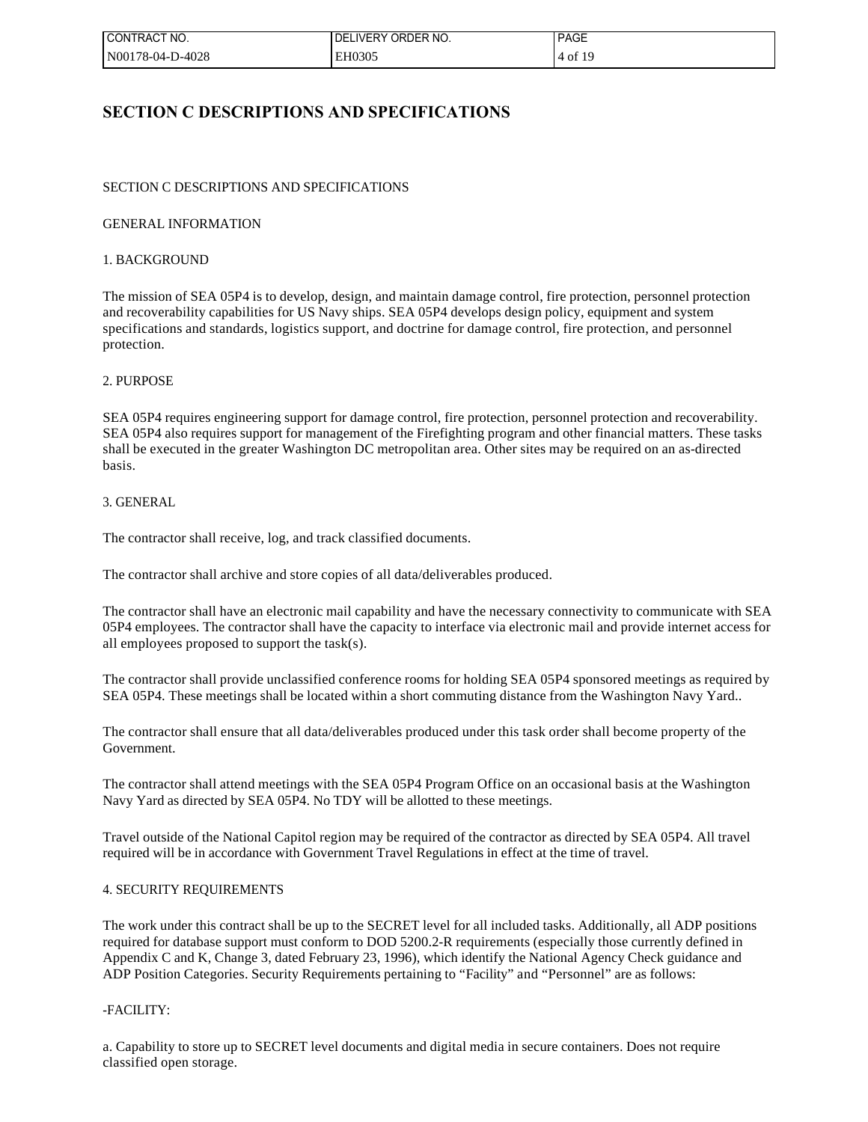| I CONTRACT NO.   | I DELIVERY ORDER NO. | <b>PAGE</b> |
|------------------|----------------------|-------------|
| N00178-04-D-4028 | EH0305               | 4 of 19     |

# **SECTION C DESCRIPTIONS AND SPECIFICATIONS**

## SECTION C DESCRIPTIONS AND SPECIFICATIONS

## GENERAL INFORMATION

## 1. BACKGROUND

The mission of SEA 05P4 is to develop, design, and maintain damage control, fire protection, personnel protection and recoverability capabilities for US Navy ships. SEA 05P4 develops design policy, equipment and system specifications and standards, logistics support, and doctrine for damage control, fire protection, and personnel protection.

## 2. PURPOSE

SEA 05P4 requires engineering support for damage control, fire protection, personnel protection and recoverability. SEA 05P4 also requires support for management of the Firefighting program and other financial matters. These tasks shall be executed in the greater Washington DC metropolitan area. Other sites may be required on an as-directed basis.

## 3. GENERAL

The contractor shall receive, log, and track classified documents.

The contractor shall archive and store copies of all data/deliverables produced.

The contractor shall have an electronic mail capability and have the necessary connectivity to communicate with SEA 05P4 employees. The contractor shall have the capacity to interface via electronic mail and provide internet access for all employees proposed to support the task(s).

The contractor shall provide unclassified conference rooms for holding SEA 05P4 sponsored meetings as required by SEA 05P4. These meetings shall be located within a short commuting distance from the Washington Navy Yard..

The contractor shall ensure that all data/deliverables produced under this task order shall become property of the Government.

The contractor shall attend meetings with the SEA 05P4 Program Office on an occasional basis at the Washington Navy Yard as directed by SEA 05P4. No TDY will be allotted to these meetings.

Travel outside of the National Capitol region may be required of the contractor as directed by SEA 05P4. All travel required will be in accordance with Government Travel Regulations in effect at the time of travel.

## 4. SECURITY REQUIREMENTS

The work under this contract shall be up to the SECRET level for all included tasks. Additionally, all ADP positions required for database support must conform to DOD 5200.2-R requirements (especially those currently defined in Appendix C and K, Change 3, dated February 23, 1996), which identify the National Agency Check guidance and ADP Position Categories. Security Requirements pertaining to "Facility" and "Personnel" are as follows:

## -FACILITY:

a. Capability to store up to SECRET level documents and digital media in secure containers. Does not require classified open storage.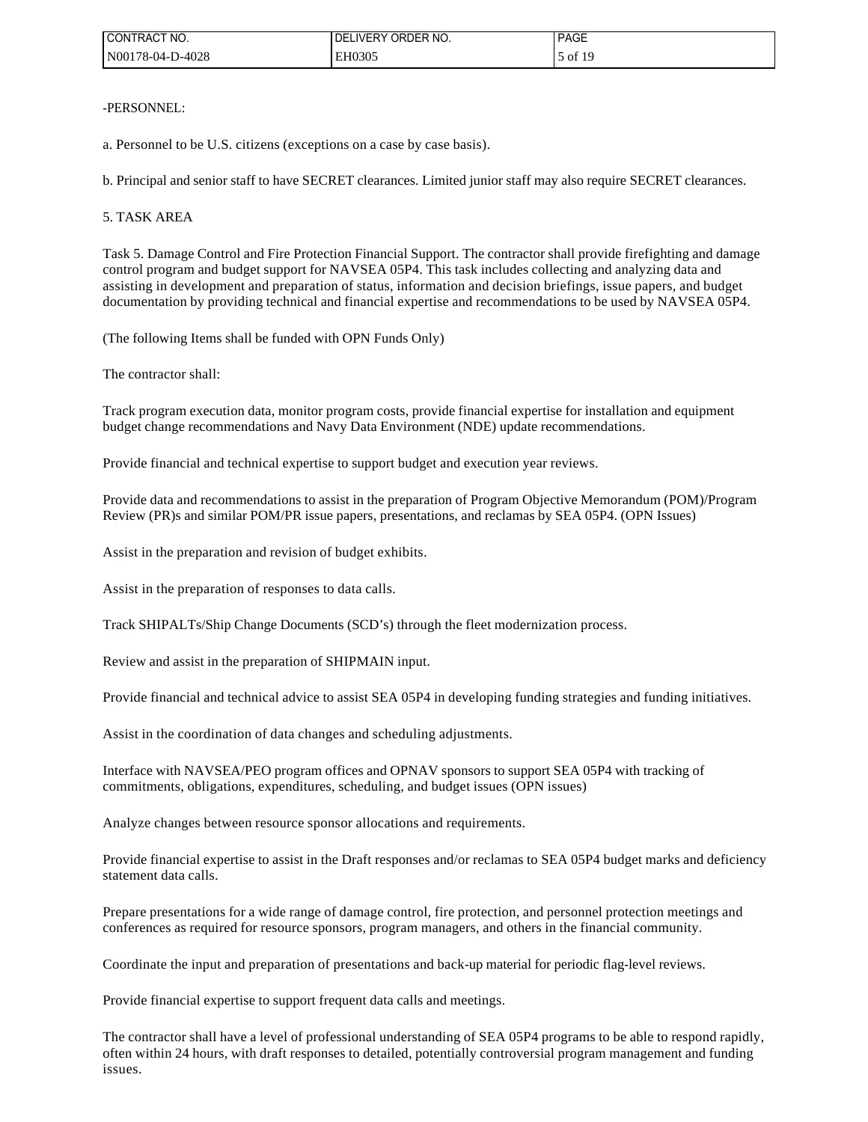| CONTRACT NO.     | I DELIVERY ORDER NO. | <b>PAGE</b> |
|------------------|----------------------|-------------|
| N00178-04-D-4028 | EH0305               | of $19$     |

-PERSONNEL:

a. Personnel to be U.S. citizens (exceptions on a case by case basis).

b. Principal and senior staff to have SECRET clearances. Limited junior staff may also require SECRET clearances.

## 5. TASK AREA

Task 5. Damage Control and Fire Protection Financial Support. The contractor shall provide firefighting and damage control program and budget support for NAVSEA 05P4. This task includes collecting and analyzing data and assisting in development and preparation of status, information and decision briefings, issue papers, and budget documentation by providing technical and financial expertise and recommendations to be used by NAVSEA 05P4.

(The following Items shall be funded with OPN Funds Only)

The contractor shall:

Track program execution data, monitor program costs, provide financial expertise for installation and equipment budget change recommendations and Navy Data Environment (NDE) update recommendations.

Provide financial and technical expertise to support budget and execution year reviews.

Provide data and recommendations to assist in the preparation of Program Objective Memorandum (POM)/Program Review (PR)s and similar POM/PR issue papers, presentations, and reclamas by SEA 05P4. (OPN Issues)

Assist in the preparation and revision of budget exhibits.

Assist in the preparation of responses to data calls.

Track SHIPALTs/Ship Change Documents (SCD's) through the fleet modernization process.

Review and assist in the preparation of SHIPMAIN input.

Provide financial and technical advice to assist SEA 05P4 in developing funding strategies and funding initiatives.

Assist in the coordination of data changes and scheduling adjustments.

Interface with NAVSEA/PEO program offices and OPNAV sponsors to support SEA 05P4 with tracking of commitments, obligations, expenditures, scheduling, and budget issues (OPN issues)

Analyze changes between resource sponsor allocations and requirements.

Provide financial expertise to assist in the Draft responses and/or reclamas to SEA 05P4 budget marks and deficiency statement data calls.

Prepare presentations for a wide range of damage control, fire protection, and personnel protection meetings and conferences as required for resource sponsors, program managers, and others in the financial community.

Coordinate the input and preparation of presentations and back-up material for periodic flag-level reviews.

Provide financial expertise to support frequent data calls and meetings.

The contractor shall have a level of professional understanding of SEA 05P4 programs to be able to respond rapidly, often within 24 hours, with draft responses to detailed, potentially controversial program management and funding issues.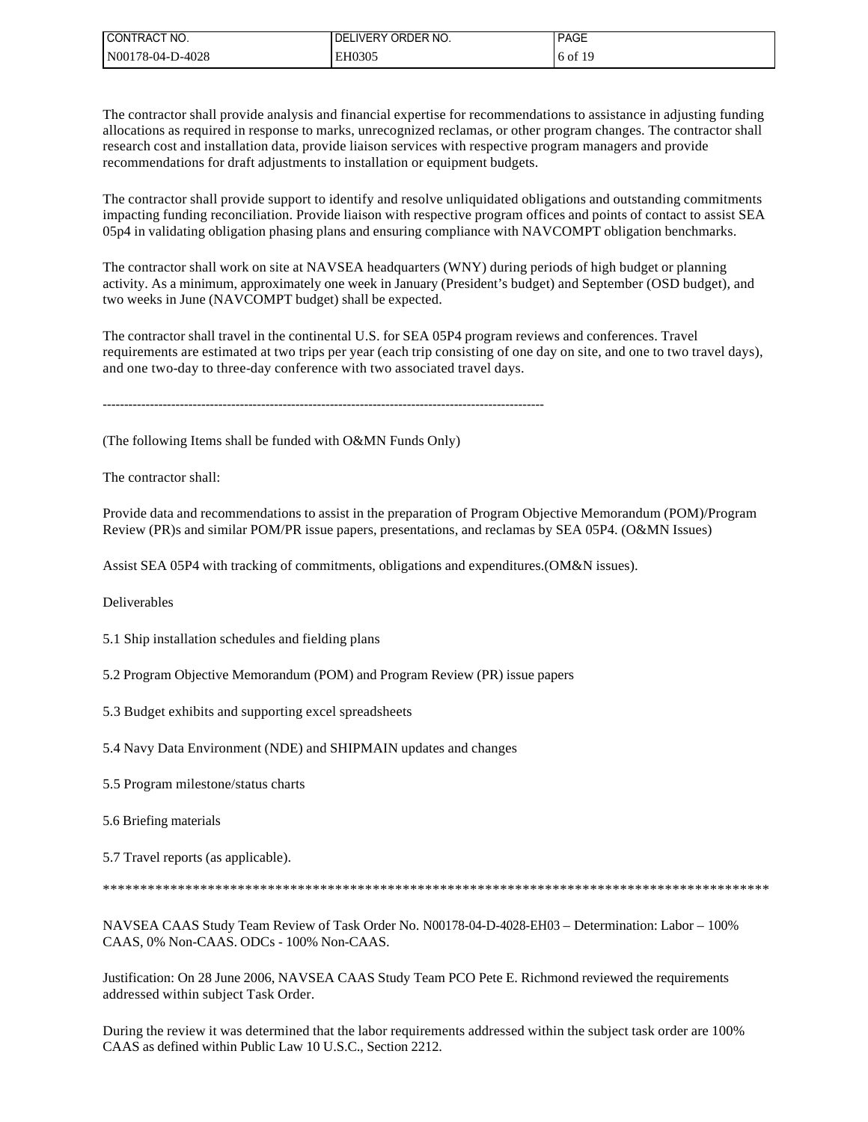| I CONTRACT NO.   | ELIVERY ORDER NO.<br>DEI | <b>PAGE</b> |
|------------------|--------------------------|-------------|
| N00178-04-D-4028 | EH0305                   | $6$ of 19   |

The contractor shall provide analysis and financial expertise for recommendations to assistance in adjusting funding allocations as required in response to marks, unrecognized reclamas, or other program changes. The contractor shall research cost and installation data, provide liaison services with respective program managers and provide recommendations for draft adjustments to installation or equipment budgets.

The contractor shall provide support to identify and resolve unliquidated obligations and outstanding commitments impacting funding reconciliation. Provide liaison with respective program offices and points of contact to assist SEA 05p4 in validating obligation phasing plans and ensuring compliance with NAVCOMPT obligation benchmarks.

The contractor shall work on site at NAVSEA headquarters (WNY) during periods of high budget or planning activity. As a minimum, approximately one week in January (President's budget) and September (OSD budget), and two weeks in June (NAVCOMPT budget) shall be expected.

The contractor shall travel in the continental U.S. for SEA 05P4 program reviews and conferences. Travel requirements are estimated at two trips per year (each trip consisting of one day on site, and one to two travel days), and one two-day to three-day conference with two associated travel days.

-------------------------------------------------------------------------------------------------------

(The following Items shall be funded with O&MN Funds Only)

The contractor shall:

Provide data and recommendations to assist in the preparation of Program Objective Memorandum (POM)/Program Review (PR)s and similar POM/PR issue papers, presentations, and reclamas by SEA 05P4. (O&MN Issues)

Assist SEA 05P4 with tracking of commitments, obligations and expenditures.(OM&N issues).

Deliverables

5.1 Ship installation schedules and fielding plans

5.2 Program Objective Memorandum (POM) and Program Review (PR) issue papers

5.3 Budget exhibits and supporting excel spreadsheets

5.4 Navy Data Environment (NDE) and SHIPMAIN updates and changes

5.5 Program milestone/status charts

5.6 Briefing materials

5.7 Travel reports (as applicable).

\*\*\*\*\*\*\*\*\*\*\*\*\*\*\*\*\*\*\*\*\*\*\*\*\*\*\*\*\*\*\*\*\*\*\*\*\*\*\*\*\*\*\*\*\*\*\*\*\*\*\*\*\*\*\*\*\*\*\*\*\*\*\*\*\*\*\*\*\*\*\*\*\*\*\*\*\*\*\*\*\*\*\*\*\*\*\*\*\*

NAVSEA CAAS Study Team Review of Task Order No. N00178-04-D-4028-EH03 – Determination: Labor – 100% CAAS, 0% Non-CAAS. ODCs - 100% Non-CAAS.

Justification: On 28 June 2006, NAVSEA CAAS Study Team PCO Pete E. Richmond reviewed the requirements addressed within subject Task Order.

During the review it was determined that the labor requirements addressed within the subject task order are 100% CAAS as defined within Public Law 10 U.S.C., Section 2212.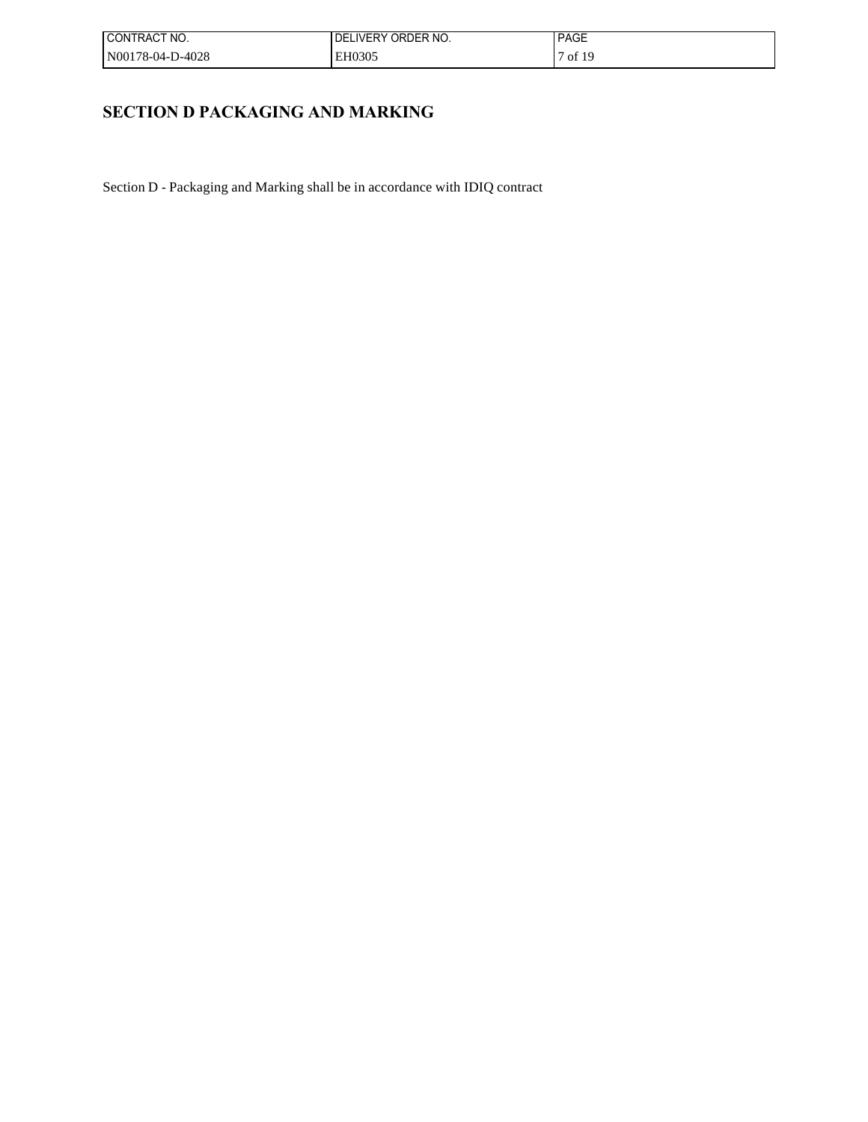| ! CONTRACT NO.   | I DELIVERY ORDER NO. | <b>PAGE</b> |
|------------------|----------------------|-------------|
| N00178-04-D-4028 | EH0305               | of 19       |

# **SECTION D PACKAGING AND MARKING**

Section D - Packaging and Marking shall be in accordance with IDIQ contract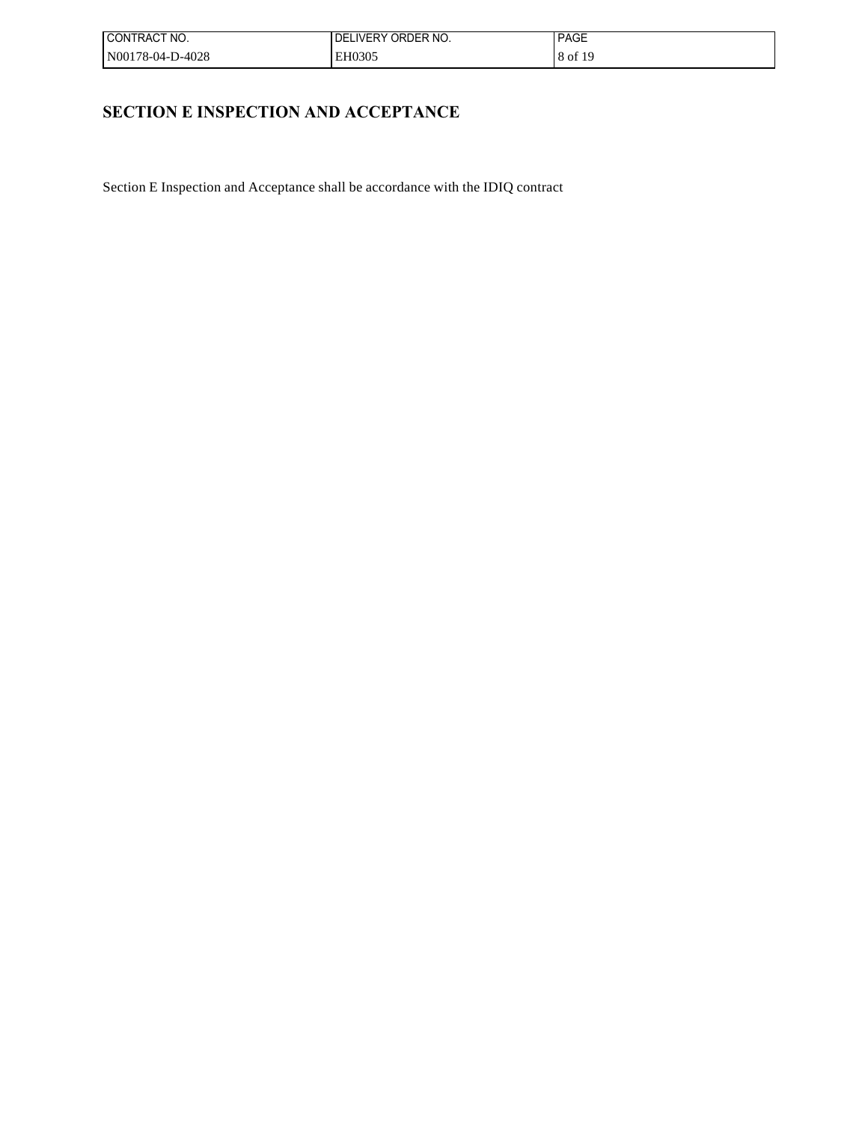| ! CONTRACT NO.   | I DELIVERY ORDER NO. | <b>PAGE</b> |
|------------------|----------------------|-------------|
| N00178-04-D-4028 | EH0305               | 8 of 19     |

# **SECTION E INSPECTION AND ACCEPTANCE**

Section E Inspection and Acceptance shall be accordance with the IDIQ contract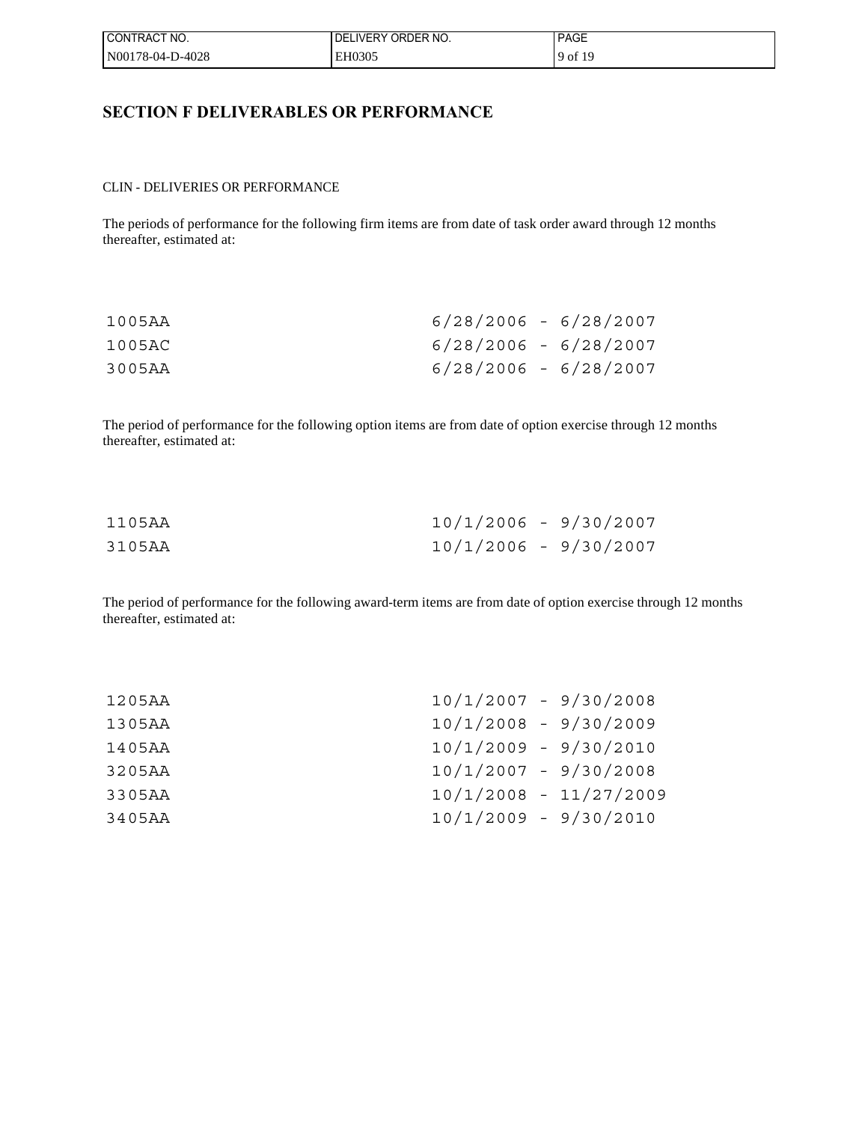| I CONTRACT NO.   | I DELIVERY ORDER NO. | <b>PAGE</b> |
|------------------|----------------------|-------------|
| N00178-04-D-4028 | EH0305               | 9 of 19     |

# **SECTION F DELIVERABLES OR PERFORMANCE**

#### CLIN - DELIVERIES OR PERFORMANCE

The periods of performance for the following firm items are from date of task order award through 12 months thereafter, estimated at:

| 1005AA | $6/28/2006 - 6/28/2007$ |  |
|--------|-------------------------|--|
| 1005AC | $6/28/2006 - 6/28/2007$ |  |
| 3005AA | $6/28/2006 - 6/28/2007$ |  |

The period of performance for the following option items are from date of option exercise through 12 months thereafter, estimated at:

| 1105AA | $10/1/2006 - 9/30/2007$ |  |
|--------|-------------------------|--|
| 3105AA | $10/1/2006 - 9/30/2007$ |  |

The period of performance for the following award-term items are from date of option exercise through 12 months thereafter, estimated at:

| $10/1/2007 - 9/30/2008$            |  |
|------------------------------------|--|
| $10/1/2008 - 9/30/2009$<br>1305AA  |  |
| $10/1/2009 - 9/30/2010$<br>1405AA  |  |
| $10/1/2007 - 9/30/2008$<br>3205AA  |  |
| $10/1/2008 - 11/27/2009$<br>3305AA |  |
| $10/1/2009 - 9/30/2010$<br>3405AA  |  |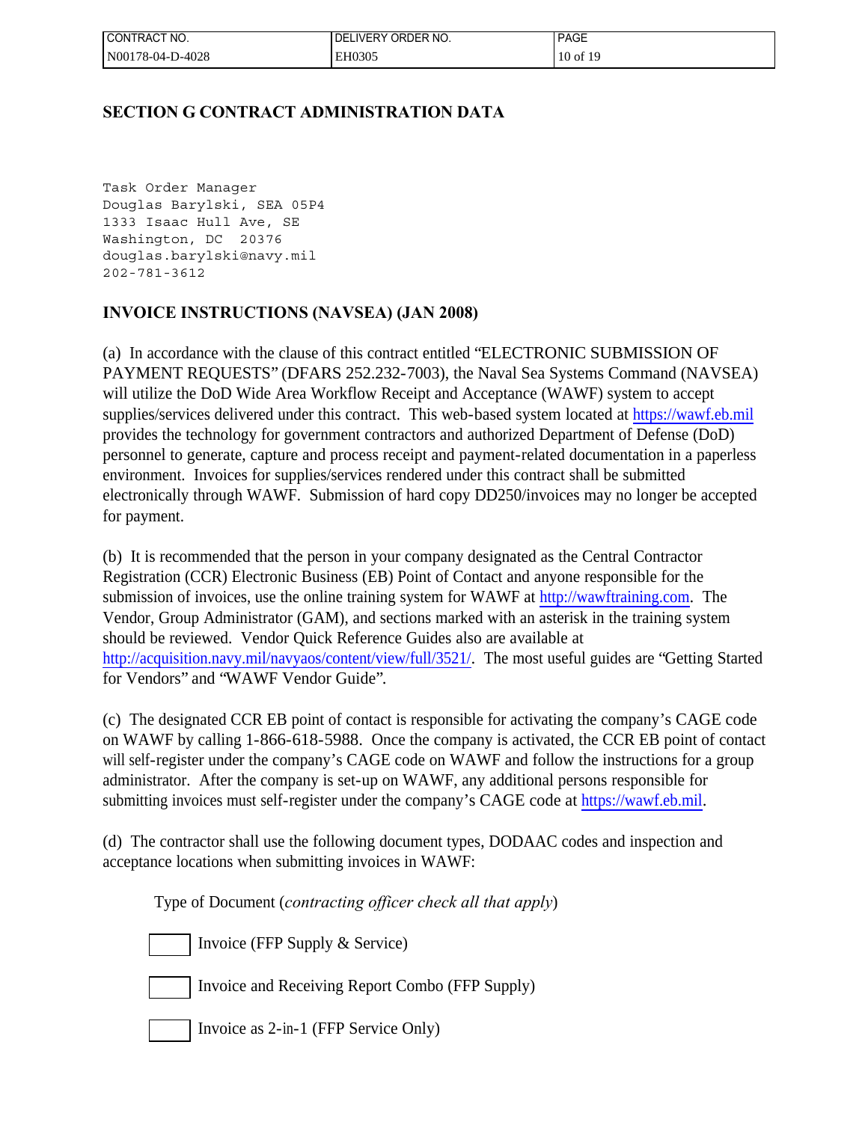| I CONTRACT NO.   | <b>DELIVERY</b><br>' ORDER NO. | <b>PAGE</b> |
|------------------|--------------------------------|-------------|
| N00178-04-D-4028 | EH0305                         | 10 of 19    |

# **SECTION G CONTRACT ADMINISTRATION DATA**

Task Order Manager Douglas Barylski, SEA 05P4 1333 Isaac Hull Ave, SE Washington, DC 20376 douglas.barylski@navy.mil 202-781-3612

# **INVOICE INSTRUCTIONS (NAVSEA) (JAN 2008)**

(a) In accordance with the clause of this contract entitled "ELECTRONIC SUBMISSION OF PAYMENT REQUESTS" (DFARS 252.232-7003), the Naval Sea Systems Command (NAVSEA) will utilize the DoD Wide Area Workflow Receipt and Acceptance (WAWF) system to accept supplies/services delivered under this contract. This web-based system located at [https://wawf.eb.mil](https://wawf.eb.mil/) provides the technology for government contractors and authorized Department of Defense (DoD) personnel to generate, capture and process receipt and payment-related documentation in a paperless environment. Invoices for supplies/services rendered under this contract shall be submitted electronically through WAWF. Submission of hard copy DD250/invoices may no longer be accepted for payment.

(b) It is recommended that the person in your company designated as the Central Contractor Registration (CCR) Electronic Business (EB) Point of Contact and anyone responsible for the submission of invoices, use the online training system for WAWF at [http://wawftraining.com.](http://wawftraining.com/) The Vendor, Group Administrator (GAM), and sections marked with an asterisk in the training system should be reviewed. Vendor Quick Reference Guides also are available at <http://acquisition.navy.mil/navyaos/content/view/full/3521/>. The most useful guides are "Getting Started for Vendors" and "WAWF Vendor Guide".

(c) The designated CCR EB point of contact is responsible for activating the company's CAGE code on WAWF by calling 1-866-618-5988. Once the company is activated, the CCR EB point of contact will self-register under the company's CAGE code on WAWF and follow the instructions for a group administrator. After the company is set-up on WAWF, any additional persons responsible for submitting invoices must self-register under the company's CAGE code at [https://wawf.eb.mil.](https://wawf.eb.mil/)

(d) The contractor shall use the following document types, DODAAC codes and inspection and acceptance locations when submitting invoices in WAWF:

Type of Document (*contracting officer check all that apply*)

Invoice (FFP Supply & Service)

Invoice and Receiving Report Combo (FFP Supply)

Invoice as 2-in-1 (FFP Service Only)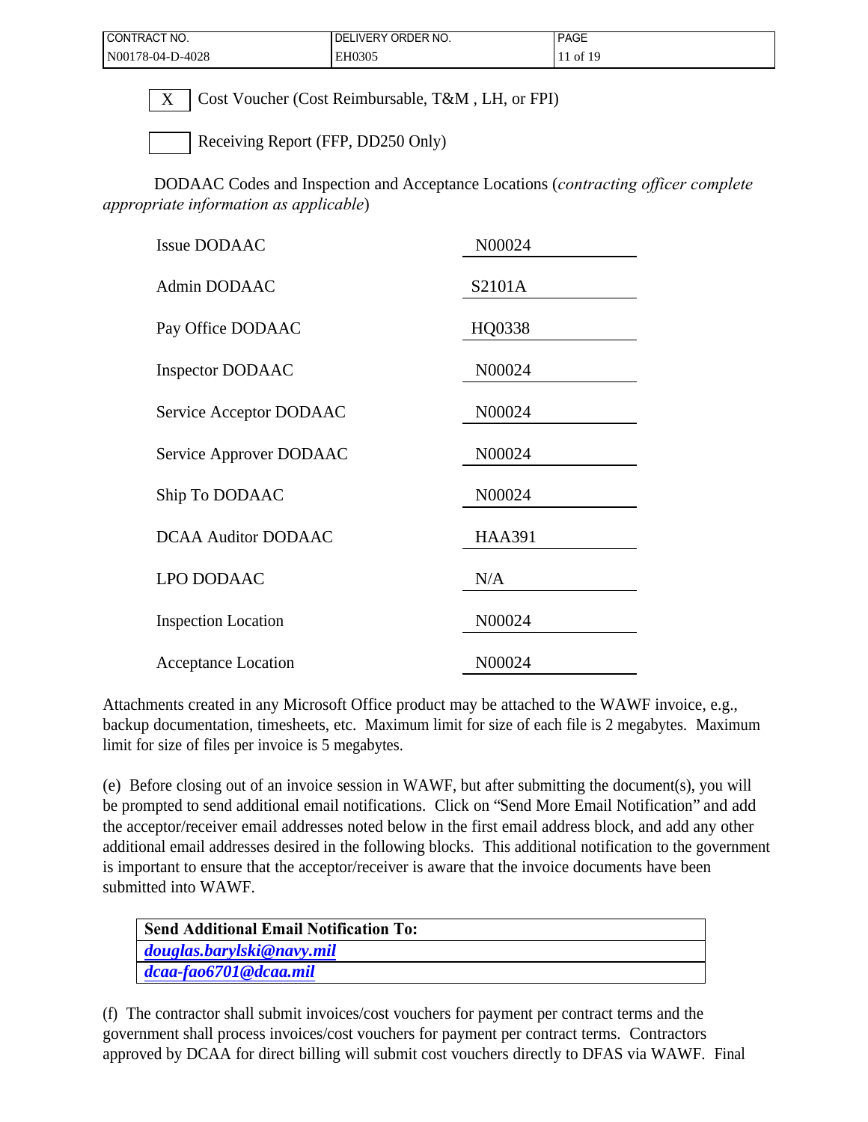| ' CONTRACT NO.   | I DELIVERY ORDER NO. | <b>PAGE</b> |
|------------------|----------------------|-------------|
| N00178-04-D-4028 | EH0305               | 11 of 19    |

 $X \mid \text{Cost Vouter (Cost Reinburable, T&M, LH, or FPI)}$ 

Receiving Report (FFP, DD250 Only)

DODAAC Codes and Inspection and Acceptance Locations (*contracting officer complete appropriate information as applicable*)

| N00024        |
|---------------|
| S2101A        |
| HQ0338        |
| N00024        |
| N00024        |
| N00024        |
| N00024        |
| <b>HAA391</b> |
| N/A           |
| N00024        |
| N00024        |
|               |

Attachments created in any Microsoft Office product may be attached to the WAWF invoice, e.g., backup documentation, timesheets, etc. Maximum limit for size of each file is 2 megabytes. Maximum limit for size of files per invoice is 5 megabytes.

(e) Before closing out of an invoice session in WAWF, but after submitting the document(s), you will be prompted to send additional email notifications. Click on "Send More Email Notification" and add the acceptor/receiver email addresses noted below in the first email address block, and add any other additional email addresses desired in the following blocks. This additional notification to the government is important to ensure that the acceptor/receiver is aware that the invoice documents have been submitted into WAWF.

| <b>Send Additional Email Notification To:</b> |
|-----------------------------------------------|
| douglas.barylski@navy.mil                     |
| dcaa-fao6701@dcaa.mil                         |

(f) The contractor shall submit invoices/cost vouchers for payment per contract terms and the government shall process invoices/cost vouchers for payment per contract terms. Contractors approved by DCAA for direct billing will submit cost vouchers directly to DFAS via WAWF. Final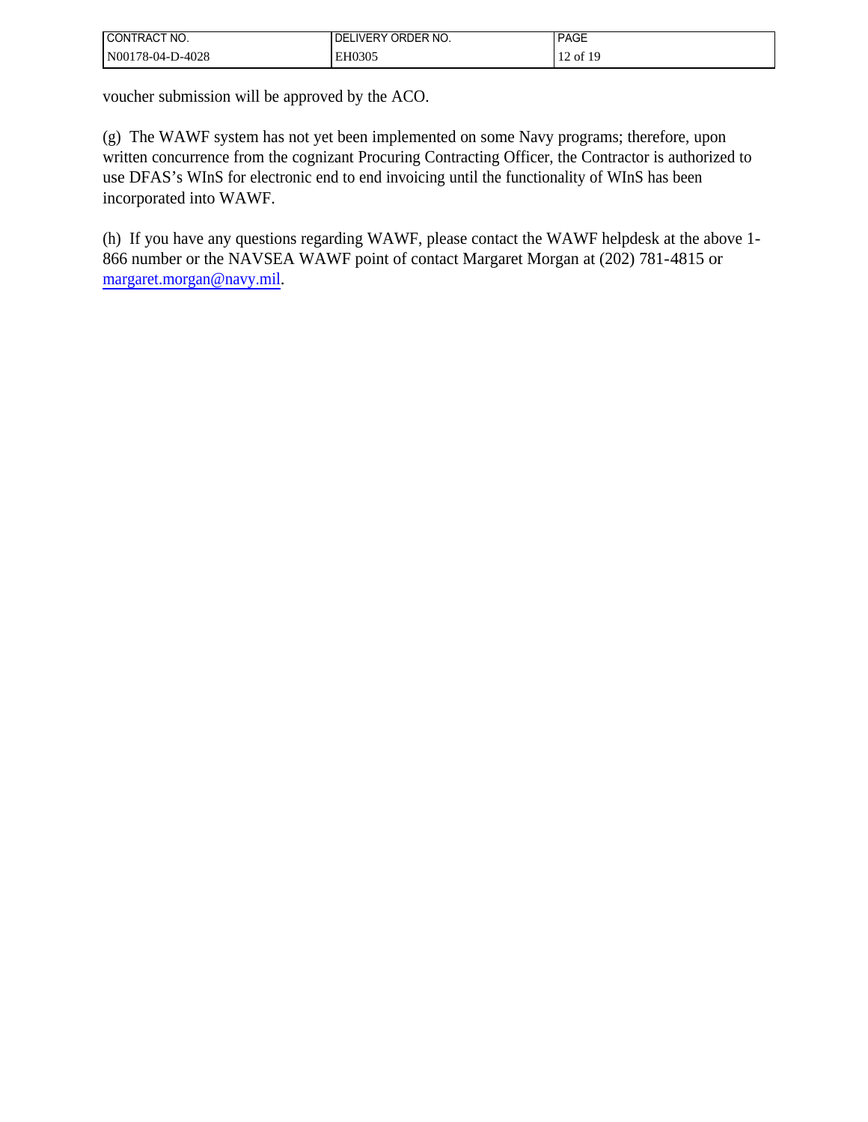| I CONTRACT NO.   | I DELIVERY ORDER NO. | <b>PAGE</b> |
|------------------|----------------------|-------------|
| N00178-04-D-4028 | EH0305               | 12 of 19    |

voucher submission will be approved by the ACO.

(g) The WAWF system has not yet been implemented on some Navy programs; therefore, upon written concurrence from the cognizant Procuring Contracting Officer, the Contractor is authorized to use DFAS's WInS for electronic end to end invoicing until the functionality of WInS has been incorporated into WAWF.

(h) If you have any questions regarding WAWF, please contact the WAWF helpdesk at the above 1- 866 number or the NAVSEA WAWF point of contact Margaret Morgan at (202) 781-4815 or [margaret.morgan@navy.mil.](mailto:margaret.morgan@navy.mil)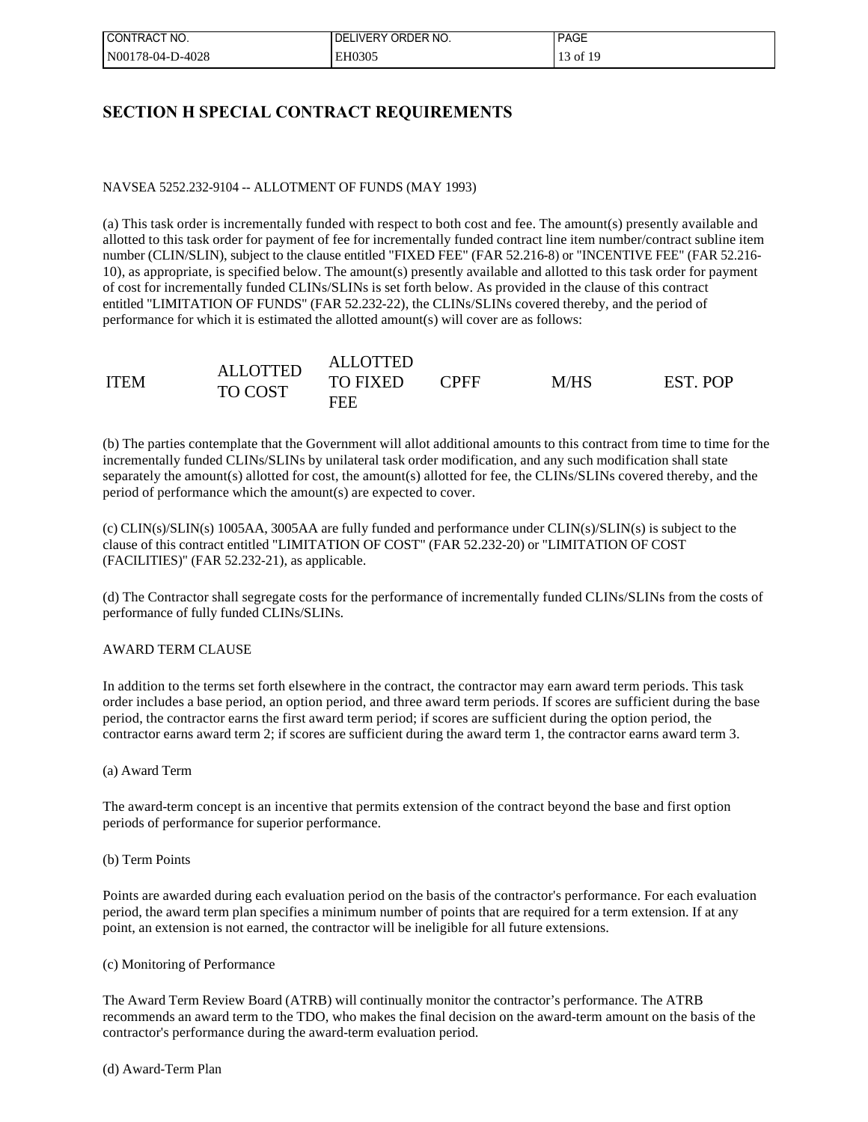| I CONTRACT NO.   | I DELIVERY ORDER NO. | <b>PAGE</b> |
|------------------|----------------------|-------------|
| N00178-04-D-4028 | EH0305               | 13 of 19    |

# **SECTION H SPECIAL CONTRACT REQUIREMENTS**

## NAVSEA 5252.232-9104 -- ALLOTMENT OF FUNDS (MAY 1993)

(a) This task order is incrementally funded with respect to both cost and fee. The amount(s) presently available and allotted to this task order for payment of fee for incrementally funded contract line item number/contract subline item number (CLIN/SLIN), subject to the clause entitled "FIXED FEE" (FAR 52.216-8) or "INCENTIVE FEE" (FAR 52.216- 10), as appropriate, is specified below. The amount(s) presently available and allotted to this task order for payment of cost for incrementally funded CLINs/SLINs is set forth below. As provided in the clause of this contract entitled "LIMITATION OF FUNDS" (FAR 52.232-22), the CLINs/SLINs covered thereby, and the period of performance for which it is estimated the allotted amount(s) will cover are as follows:

|             | <b>ALLOTTED</b>                   |                        |             |      |          |
|-------------|-----------------------------------|------------------------|-------------|------|----------|
| <b>ITEM</b> | <b>ALLOTTED</b><br><b>TO COST</b> | <b>TO FIXED</b><br>FEE | <b>PFFT</b> | M/HS | EST. POP |

(b) The parties contemplate that the Government will allot additional amounts to this contract from time to time for the incrementally funded CLINs/SLINs by unilateral task order modification, and any such modification shall state separately the amount(s) allotted for cost, the amount(s) allotted for fee, the CLINs/SLINs covered thereby, and the period of performance which the amount(s) are expected to cover.

(c) CLIN(s)/SLIN(s) 1005AA, 3005AA are fully funded and performance under CLIN(s)/SLIN(s) is subject to the clause of this contract entitled "LIMITATION OF COST" (FAR 52.232-20) or "LIMITATION OF COST (FACILITIES)" (FAR 52.232-21), as applicable.

(d) The Contractor shall segregate costs for the performance of incrementally funded CLINs/SLINs from the costs of performance of fully funded CLINs/SLINs.

## AWARD TERM CLAUSE

In addition to the terms set forth elsewhere in the contract, the contractor may earn award term periods. This task order includes a base period, an option period, and three award term periods. If scores are sufficient during the base period, the contractor earns the first award term period; if scores are sufficient during the option period, the contractor earns award term 2; if scores are sufficient during the award term 1, the contractor earns award term 3.

## (a) Award Term

The award-term concept is an incentive that permits extension of the contract beyond the base and first option periods of performance for superior performance.

## (b) Term Points

Points are awarded during each evaluation period on the basis of the contractor's performance. For each evaluation period, the award term plan specifies a minimum number of points that are required for a term extension. If at any point, an extension is not earned, the contractor will be ineligible for all future extensions.

## (c) Monitoring of Performance

The Award Term Review Board (ATRB) will continually monitor the contractor's performance. The ATRB recommends an award term to the TDO, who makes the final decision on the award-term amount on the basis of the contractor's performance during the award-term evaluation period.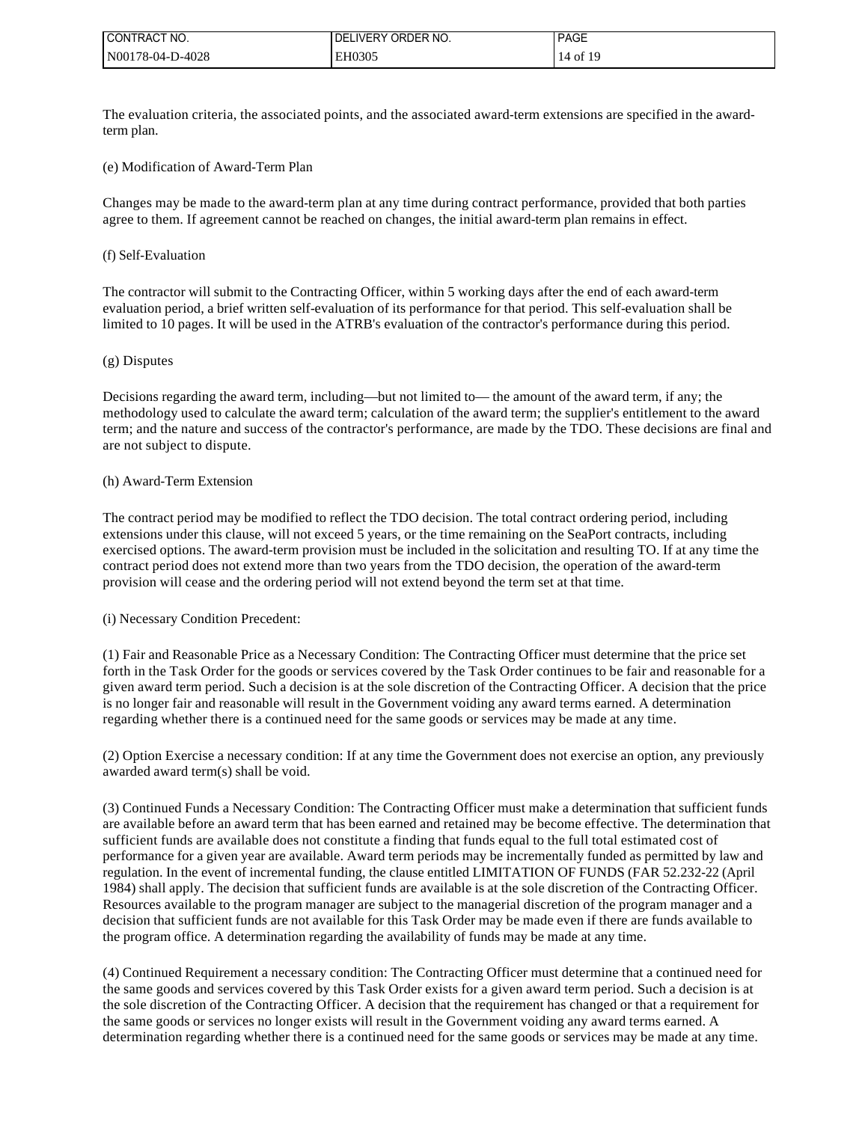| I CONTRACT NO.   | ELIVERY ORDER NO.<br>DEL | <b>PAGE</b> |
|------------------|--------------------------|-------------|
| N00178-04-D-4028 | EH0305                   | 14 of 19    |

The evaluation criteria, the associated points, and the associated award-term extensions are specified in the awardterm plan.

#### (e) Modification of Award-Term Plan

Changes may be made to the award-term plan at any time during contract performance, provided that both parties agree to them. If agreement cannot be reached on changes, the initial award-term plan remains in effect.

## (f) Self-Evaluation

The contractor will submit to the Contracting Officer, within 5 working days after the end of each award-term evaluation period, a brief written self-evaluation of its performance for that period. This self-evaluation shall be limited to 10 pages. It will be used in the ATRB's evaluation of the contractor's performance during this period.

#### (g) Disputes

Decisions regarding the award term, including—but not limited to— the amount of the award term, if any; the methodology used to calculate the award term; calculation of the award term; the supplier's entitlement to the award term; and the nature and success of the contractor's performance, are made by the TDO. These decisions are final and are not subject to dispute.

#### (h) Award-Term Extension

The contract period may be modified to reflect the TDO decision. The total contract ordering period, including extensions under this clause, will not exceed 5 years, or the time remaining on the SeaPort contracts, including exercised options. The award-term provision must be included in the solicitation and resulting TO. If at any time the contract period does not extend more than two years from the TDO decision, the operation of the award-term provision will cease and the ordering period will not extend beyond the term set at that time.

## (i) Necessary Condition Precedent:

(1) Fair and Reasonable Price as a Necessary Condition: The Contracting Officer must determine that the price set forth in the Task Order for the goods or services covered by the Task Order continues to be fair and reasonable for a given award term period. Such a decision is at the sole discretion of the Contracting Officer. A decision that the price is no longer fair and reasonable will result in the Government voiding any award terms earned. A determination regarding whether there is a continued need for the same goods or services may be made at any time.

(2) Option Exercise a necessary condition: If at any time the Government does not exercise an option, any previously awarded award term(s) shall be void.

(3) Continued Funds a Necessary Condition: The Contracting Officer must make a determination that sufficient funds are available before an award term that has been earned and retained may be become effective. The determination that sufficient funds are available does not constitute a finding that funds equal to the full total estimated cost of performance for a given year are available. Award term periods may be incrementally funded as permitted by law and regulation. In the event of incremental funding, the clause entitled LIMITATION OF FUNDS (FAR 52.232-22 (April 1984) shall apply. The decision that sufficient funds are available is at the sole discretion of the Contracting Officer. Resources available to the program manager are subject to the managerial discretion of the program manager and a decision that sufficient funds are not available for this Task Order may be made even if there are funds available to the program office. A determination regarding the availability of funds may be made at any time.

(4) Continued Requirement a necessary condition: The Contracting Officer must determine that a continued need for the same goods and services covered by this Task Order exists for a given award term period. Such a decision is at the sole discretion of the Contracting Officer. A decision that the requirement has changed or that a requirement for the same goods or services no longer exists will result in the Government voiding any award terms earned. A determination regarding whether there is a continued need for the same goods or services may be made at any time.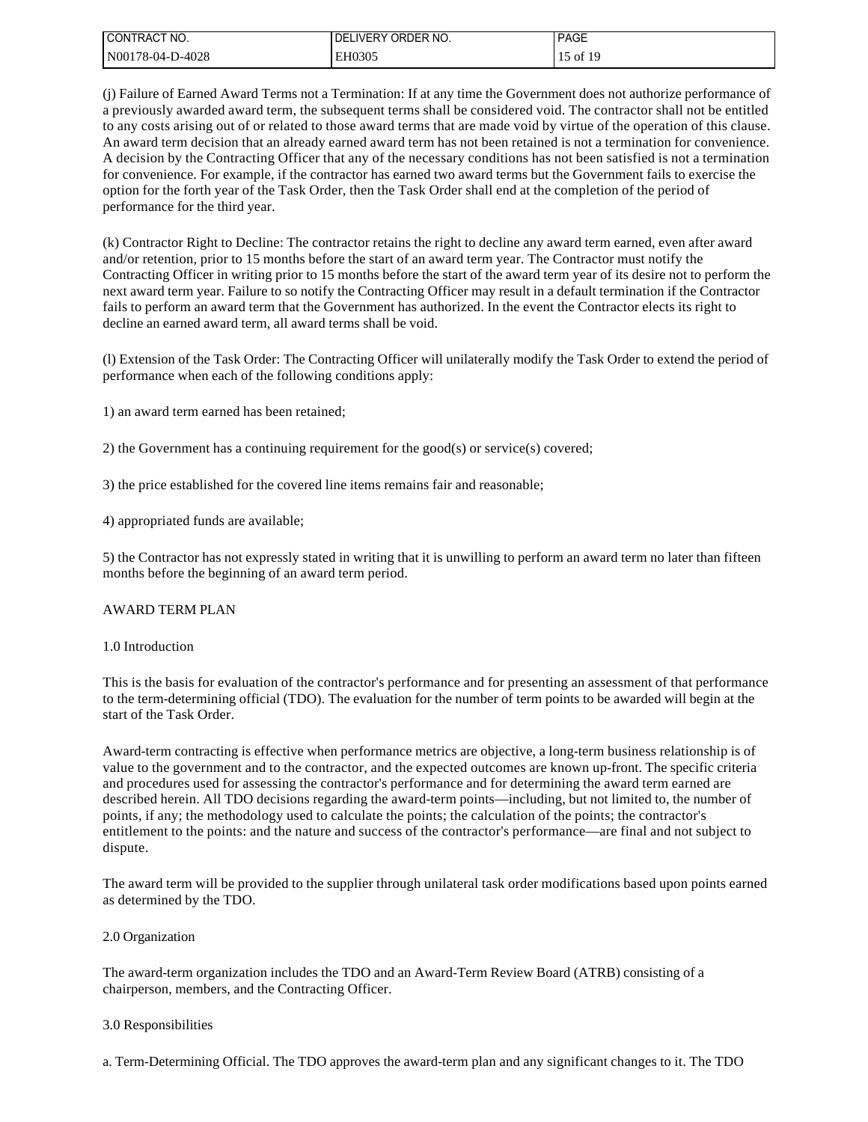| CONTRACT NO.     | I DELIVERY ORDER NO. | <b>PAGE</b> |
|------------------|----------------------|-------------|
| N00178-04-D-4028 | EH0305               | 15 of 19    |

(j) Failure of Earned Award Terms not a Termination: If at any time the Government does not authorize performance of a previously awarded award term, the subsequent terms shall be considered void. The contractor shall not be entitled to any costs arising out of or related to those award terms that are made void by virtue of the operation of this clause. An award term decision that an already earned award term has not been retained is not a termination for convenience. A decision by the Contracting Officer that any of the necessary conditions has not been satisfied is not a termination for convenience. For example, if the contractor has earned two award terms but the Government fails to exercise the option for the forth year of the Task Order, then the Task Order shall end at the completion of the period of performance for the third year.

(k) Contractor Right to Decline: The contractor retains the right to decline any award term earned, even after award and/or retention, prior to 15 months before the start of an award term year. The Contractor must notify the Contracting Officer in writing prior to 15 months before the start of the award term year of its desire not to perform the next award term year. Failure to so notify the Contracting Officer may result in a default termination if the Contractor fails to perform an award term that the Government has authorized. In the event the Contractor elects its right to decline an earned award term, all award terms shall be void.

(l) Extension of the Task Order: The Contracting Officer will unilaterally modify the Task Order to extend the period of performance when each of the following conditions apply:

1) an award term earned has been retained;

2) the Government has a continuing requirement for the good(s) or service(s) covered;

3) the price established for the covered line items remains fair and reasonable;

4) appropriated funds are available;

5) the Contractor has not expressly stated in writing that it is unwilling to perform an award term no later than fifteen months before the beginning of an award term period.

## AWARD TERM PLAN

## 1.0 Introduction

This is the basis for evaluation of the contractor's performance and for presenting an assessment of that performance to the term-determining official (TDO). The evaluation for the number of term points to be awarded will begin at the start of the Task Order.

Award-term contracting is effective when performance metrics are objective, a long-term business relationship is of value to the government and to the contractor, and the expected outcomes are known up-front. The specific criteria and procedures used for assessing the contractor's performance and for determining the award term earned are described herein. All TDO decisions regarding the award-term points—including, but not limited to, the number of points, if any; the methodology used to calculate the points; the calculation of the points; the contractor's entitlement to the points: and the nature and success of the contractor's performance—are final and not subject to dispute.

The award term will be provided to the supplier through unilateral task order modifications based upon points earned as determined by the TDO.

## 2.0 Organization

The award-term organization includes the TDO and an Award-Term Review Board (ATRB) consisting of a chairperson, members, and the Contracting Officer.

## 3.0 Responsibilities

a. Term-Determining Official. The TDO approves the award-term plan and any significant changes to it. The TDO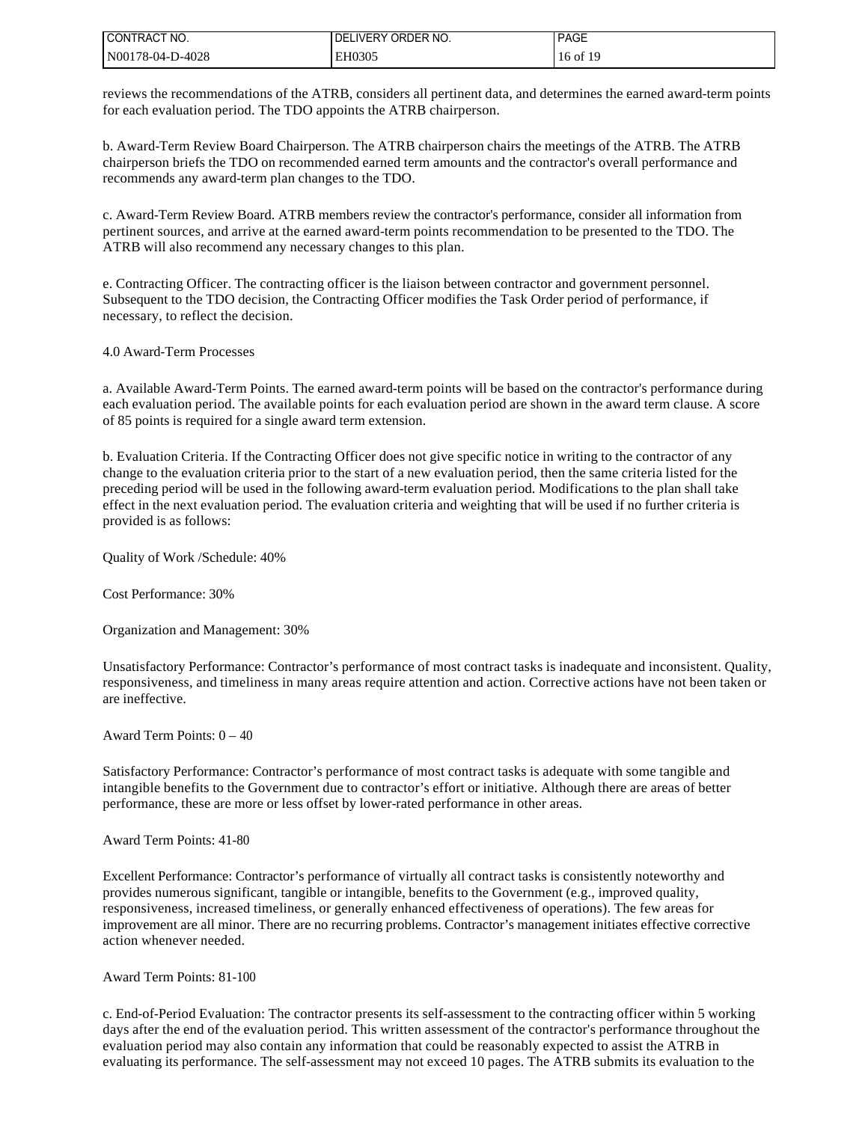| I CONTRACT NO.   | <b>'LIVERY ORDER NO.</b><br>DEL | <b>PAGE</b> |
|------------------|---------------------------------|-------------|
| N00178-04-D-4028 | EH0305                          | 16 of 19    |

reviews the recommendations of the ATRB, considers all pertinent data, and determines the earned award-term points for each evaluation period. The TDO appoints the ATRB chairperson.

b. Award-Term Review Board Chairperson. The ATRB chairperson chairs the meetings of the ATRB. The ATRB chairperson briefs the TDO on recommended earned term amounts and the contractor's overall performance and recommends any award-term plan changes to the TDO.

c. Award-Term Review Board. ATRB members review the contractor's performance, consider all information from pertinent sources, and arrive at the earned award-term points recommendation to be presented to the TDO. The ATRB will also recommend any necessary changes to this plan.

e. Contracting Officer. The contracting officer is the liaison between contractor and government personnel. Subsequent to the TDO decision, the Contracting Officer modifies the Task Order period of performance, if necessary, to reflect the decision.

## 4.0 Award-Term Processes

a. Available Award-Term Points. The earned award-term points will be based on the contractor's performance during each evaluation period. The available points for each evaluation period are shown in the award term clause. A score of 85 points is required for a single award term extension.

b. Evaluation Criteria. If the Contracting Officer does not give specific notice in writing to the contractor of any change to the evaluation criteria prior to the start of a new evaluation period, then the same criteria listed for the preceding period will be used in the following award-term evaluation period. Modifications to the plan shall take effect in the next evaluation period. The evaluation criteria and weighting that will be used if no further criteria is provided is as follows:

Quality of Work /Schedule: 40%

Cost Performance: 30%

Organization and Management: 30%

Unsatisfactory Performance: Contractor's performance of most contract tasks is inadequate and inconsistent. Quality, responsiveness, and timeliness in many areas require attention and action. Corrective actions have not been taken or are ineffective.

Award Term Points: 0 – 40

Satisfactory Performance: Contractor's performance of most contract tasks is adequate with some tangible and intangible benefits to the Government due to contractor's effort or initiative. Although there are areas of better performance, these are more or less offset by lower-rated performance in other areas.

Award Term Points: 41-80

Excellent Performance: Contractor's performance of virtually all contract tasks is consistently noteworthy and provides numerous significant, tangible or intangible, benefits to the Government (e.g., improved quality, responsiveness, increased timeliness, or generally enhanced effectiveness of operations). The few areas for improvement are all minor. There are no recurring problems. Contractor's management initiates effective corrective action whenever needed.

Award Term Points: 81-100

c. End-of-Period Evaluation: The contractor presents its self-assessment to the contracting officer within 5 working days after the end of the evaluation period. This written assessment of the contractor's performance throughout the evaluation period may also contain any information that could be reasonably expected to assist the ATRB in evaluating its performance. The self-assessment may not exceed 10 pages. The ATRB submits its evaluation to the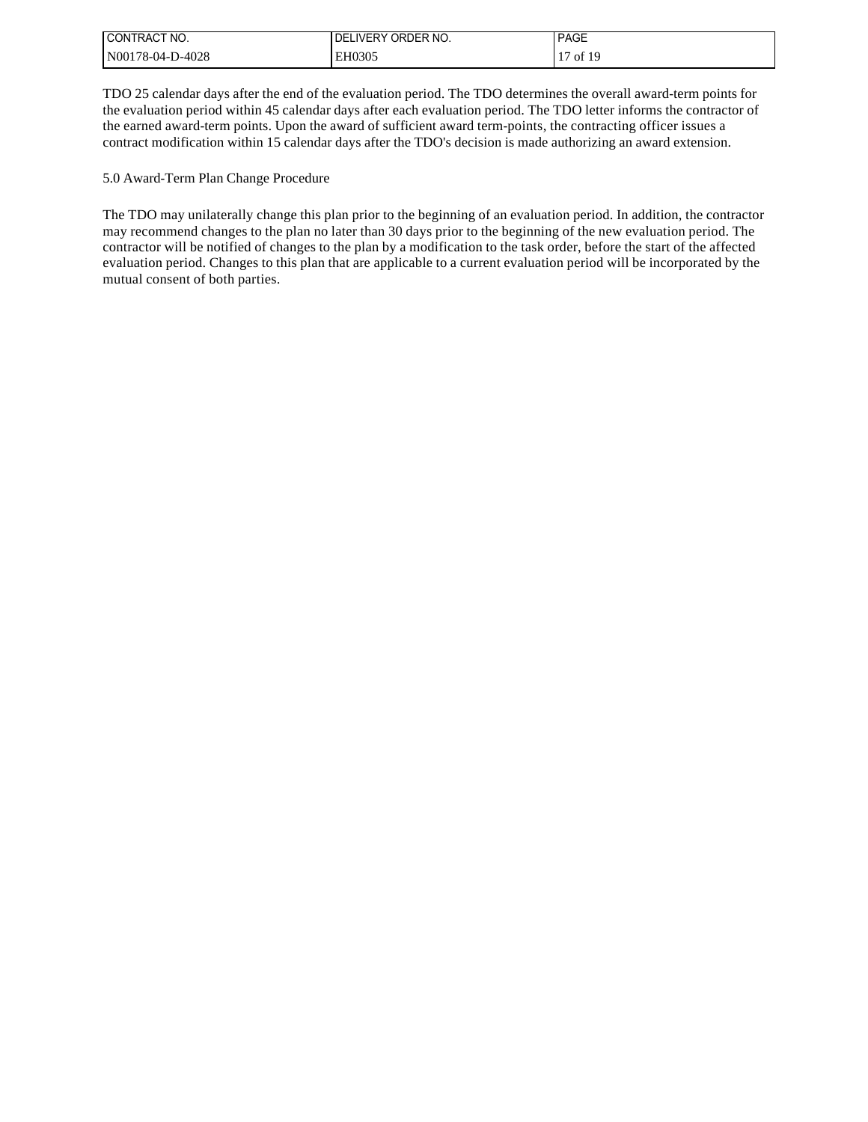| I CONTRACT NO.   | I DELIVERY ORDER NO. | <b>PAGE</b> |
|------------------|----------------------|-------------|
| N00178-04-D-4028 | EH0305               | 17 of 19    |

TDO 25 calendar days after the end of the evaluation period. The TDO determines the overall award-term points for the evaluation period within 45 calendar days after each evaluation period. The TDO letter informs the contractor of the earned award-term points. Upon the award of sufficient award term-points, the contracting officer issues a contract modification within 15 calendar days after the TDO's decision is made authorizing an award extension.

5.0 Award-Term Plan Change Procedure

The TDO may unilaterally change this plan prior to the beginning of an evaluation period. In addition, the contractor may recommend changes to the plan no later than 30 days prior to the beginning of the new evaluation period. The contractor will be notified of changes to the plan by a modification to the task order, before the start of the affected evaluation period. Changes to this plan that are applicable to a current evaluation period will be incorporated by the mutual consent of both parties.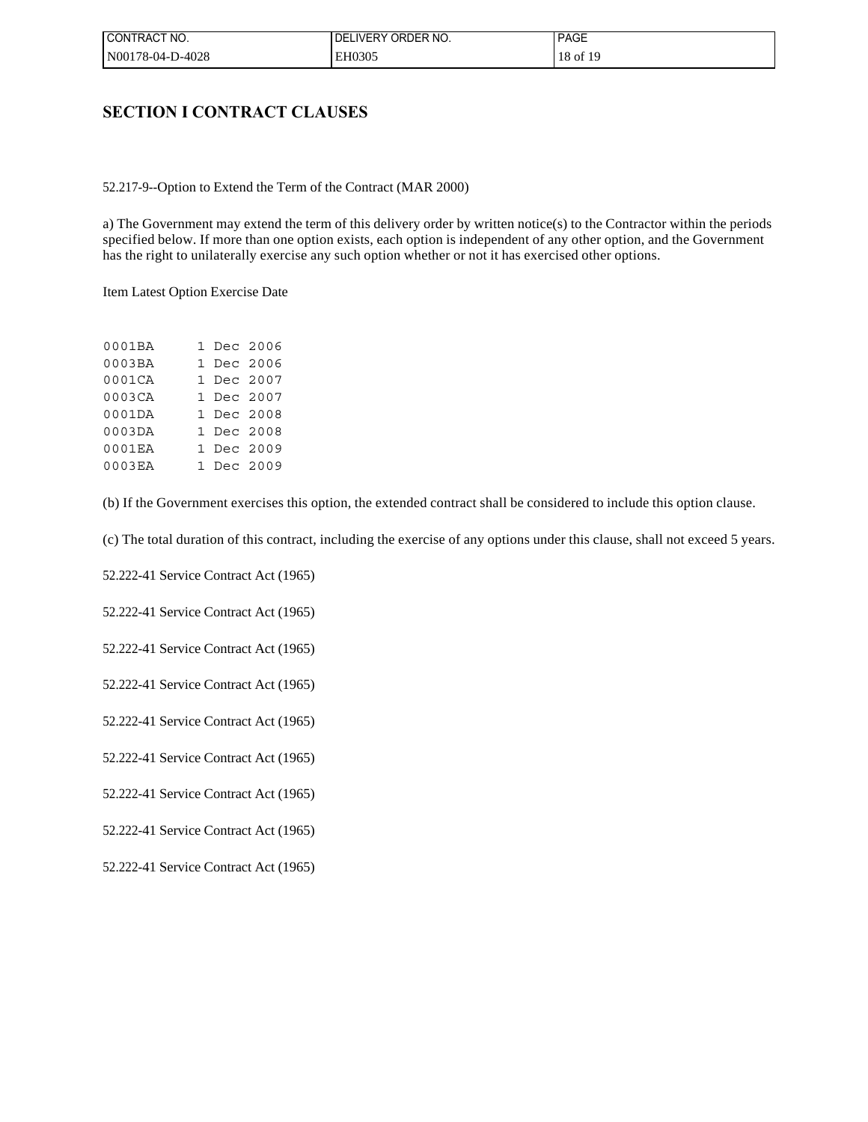| I CONTRACT NO.   | ELIVERY ORDER NO.<br>DEI | <b>PAGE</b> |
|------------------|--------------------------|-------------|
| N00178-04-D-4028 | EH0305                   | 18 of 19    |

## **SECTION I CONTRACT CLAUSES**

52.217-9--Option to Extend the Term of the Contract (MAR 2000)

a) The Government may extend the term of this delivery order by written notice(s) to the Contractor within the periods specified below. If more than one option exists, each option is independent of any other option, and the Government has the right to unilaterally exercise any such option whether or not it has exercised other options.

Item Latest Option Exercise Date

| 0001BA |  | 1 Dec 2006 |
|--------|--|------------|
| 0003BA |  | 1 Dec 2006 |
| 0001CA |  | 1 Dec 2007 |
| 0003CA |  | 1 Dec 2007 |
| 0001DA |  | 1 Dec 2008 |
| 0003DA |  | 1 Dec 2008 |
| 0001EA |  | 1 Dec 2009 |
| 0003EA |  | 1 Dec 2009 |

(b) If the Government exercises this option, the extended contract shall be considered to include this option clause.

(c) The total duration of this contract, including the exercise of any options under this clause, shall not exceed 5 years.

52.222-41 Service Contract Act (1965)

52.222-41 Service Contract Act (1965)

52.222-41 Service Contract Act (1965)

52.222-41 Service Contract Act (1965)

52.222-41 Service Contract Act (1965)

52.222-41 Service Contract Act (1965)

52.222-41 Service Contract Act (1965)

52.222-41 Service Contract Act (1965)

52.222-41 Service Contract Act (1965)